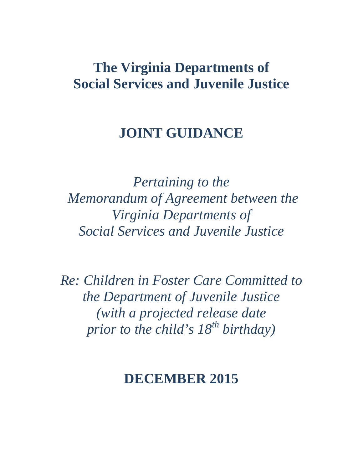# <span id="page-0-0"></span>**The Virginia Departments of Social Services and Juvenile Justice**

# **JOINT GUIDANCE**

*Pertaining to the Memorandum of Agreement between the Virginia Departments of Social Services and Juvenile Justice* 

*Re: Children in Foster Care Committed to the Department of Juvenile Justice (with a projected release date prior to the child's 18<sup>th</sup> birthday*)

# **DECEMBER 2015**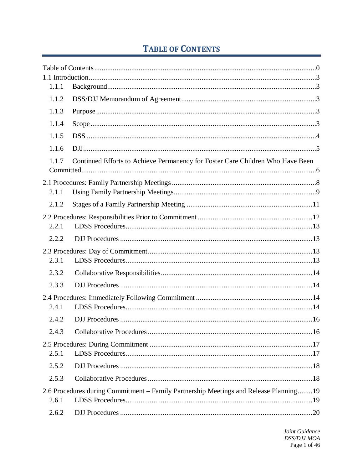## **TABLE OF CONTENTS**

| 1.1.1 |                                                                                       |  |
|-------|---------------------------------------------------------------------------------------|--|
| 1.1.2 |                                                                                       |  |
| 1.1.3 |                                                                                       |  |
| 1.1.4 |                                                                                       |  |
| 1.1.5 |                                                                                       |  |
| 1.1.6 |                                                                                       |  |
| 1.1.7 | Continued Efforts to Achieve Permanency for Foster Care Children Who Have Been        |  |
|       |                                                                                       |  |
|       |                                                                                       |  |
| 2.1.1 |                                                                                       |  |
| 2.1.2 |                                                                                       |  |
|       |                                                                                       |  |
| 2.2.1 |                                                                                       |  |
| 2.2.2 |                                                                                       |  |
|       |                                                                                       |  |
| 2.3.1 |                                                                                       |  |
| 2.3.2 |                                                                                       |  |
| 2.3.3 |                                                                                       |  |
|       |                                                                                       |  |
| 2.4.1 |                                                                                       |  |
| 2.4.2 |                                                                                       |  |
| 2.4.3 |                                                                                       |  |
|       |                                                                                       |  |
| 2.5.1 |                                                                                       |  |
| 2.5.2 |                                                                                       |  |
| 2.5.3 |                                                                                       |  |
|       | 2.6 Procedures during Commitment – Family Partnership Meetings and Release Planning19 |  |
| 2.6.1 |                                                                                       |  |
| 2.6.2 |                                                                                       |  |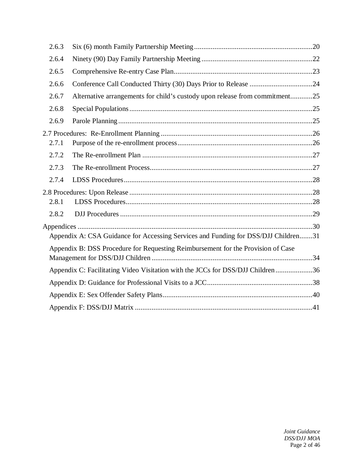| 2.6.3 |                                                                                    |  |
|-------|------------------------------------------------------------------------------------|--|
| 2.6.4 |                                                                                    |  |
| 2.6.5 |                                                                                    |  |
| 2.6.6 |                                                                                    |  |
| 2.6.7 | Alternative arrangements for child's custody upon release from commitment25        |  |
| 2.6.8 |                                                                                    |  |
| 2.6.9 |                                                                                    |  |
| 2.7.1 |                                                                                    |  |
| 2.7.2 |                                                                                    |  |
| 2.7.3 |                                                                                    |  |
| 2.7.4 |                                                                                    |  |
| 2.8.1 |                                                                                    |  |
| 2.8.2 |                                                                                    |  |
|       | Appendix A: CSA Guidance for Accessing Services and Funding for DSS/DJJ Children31 |  |
|       | Appendix B: DSS Procedure for Requesting Reimbursement for the Provision of Case   |  |
|       | Appendix C: Facilitating Video Visitation with the JCCs for DSS/DJJ Children 36    |  |
|       |                                                                                    |  |
|       |                                                                                    |  |
|       |                                                                                    |  |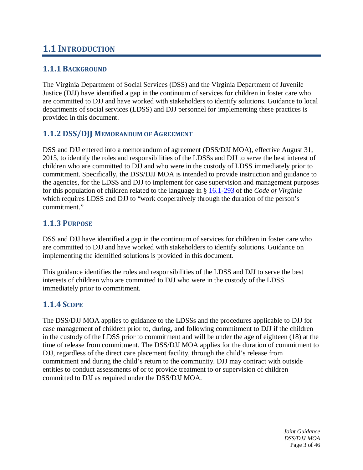## <span id="page-3-0"></span>**1.1 INTRODUCTION**

## <span id="page-3-1"></span>**1.1.1 BACKGROUND**

The Virginia Department of Social Services (DSS) and the Virginia Department of Juvenile Justice (DJJ) have identified a gap in the continuum of services for children in foster care who are committed to DJJ and have worked with stakeholders to identify solutions. Guidance to local departments of social services (LDSS) and DJJ personnel for implementing these practices is provided in this document.

## <span id="page-3-2"></span>**1.1.2 DSS/DJJ MEMORANDUM OF AGREEMENT**

DSS and DJJ entered into a memorandum of agreement (DSS/DJJ MOA), effective August 31, 2015, to identify the roles and responsibilities of the LDSSs and DJJ to serve the best interest of children who are committed to DJJ and who were in the custody of LDSS immediately prior to commitment. Specifically, the DSS/DJJ MOA is intended to provide instruction and guidance to the agencies, for the LDSS and DJJ to implement for case supervision and management purposes for this population of children related to the language in § [16.1-293](http://law.lis.virginia.gov/vacode/16.1-293/) of the *Code of Virginia* which requires LDSS and DJJ to "work cooperatively through the duration of the person's commitment."

### <span id="page-3-3"></span>**1.1.3 PURPOSE**

DSS and DJJ have identified a gap in the continuum of services for children in foster care who are committed to DJJ and have worked with stakeholders to identify solutions. Guidance on implementing the identified solutions is provided in this document.

This guidance identifies the roles and responsibilities of the LDSS and DJJ to serve the best interests of children who are committed to DJJ who were in the custody of the LDSS immediately prior to commitment.

## <span id="page-3-4"></span>**1.1.4 SCOPE**

The DSS/DJJ MOA applies to guidance to the LDSSs and the procedures applicable to DJJ for case management of children prior to, during, and following commitment to DJJ if the children in the custody of the LDSS prior to commitment and will be under the age of eighteen (18) at the time of release from commitment. The DSS/DJJ MOA applies for the duration of commitment to DJJ, regardless of the direct care placement facility, through the child's release from commitment and during the child's return to the community. DJJ may contract with outside entities to conduct assessments of or to provide treatment to or supervision of children committed to DJJ as required under the DSS/DJJ MOA.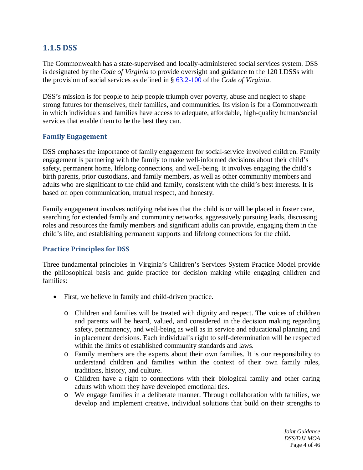## <span id="page-4-0"></span>**1.1.5 DSS**

The Commonwealth has a state-supervised and locally-administered social services system. DSS is designated by the *Code of Virginia* to provide oversight and guidance to the 120 LDSSs with the provision of social services as defined in § [63.2-100](http://law.lis.virginia.gov/vacode/63.2-100/) of the *Code of Virginia*.

DSS's mission is for people to help people triumph over poverty, abuse and neglect to shape strong futures for themselves, their families, and communities. Its vision is for a Commonwealth in which individuals and families have access to adequate, affordable, high-quality human/social services that enable them to be the best they can.

#### **Family Engagement**

DSS emphases the importance of family engagement for social-service involved children. Family engagement is partnering with the family to make well-informed decisions about their child's safety, permanent home, lifelong connections, and well-being. It involves engaging the child's birth parents, prior custodians, and family members, as well as other community members and adults who are significant to the child and family, consistent with the child's best interests. It is based on open communication, mutual respect, and honesty.

Family engagement involves notifying relatives that the child is or will be placed in foster care, searching for extended family and community networks, aggressively pursuing leads, discussing roles and resources the family members and significant adults can provide, engaging them in the child's life, and establishing permanent supports and lifelong connections for the child.

#### **Practice Principles for DSS**

Three fundamental principles in Virginia's Children's Services System Practice Model provide the philosophical basis and guide practice for decision making while engaging children and families:

- First, we believe in family and child-driven practice.
	- o Children and families will be treated with dignity and respect. The voices of children and parents will be heard, valued, and considered in the decision making regarding safety, permanency, and well-being as well as in service and educational planning and in placement decisions. Each individual's right to self-determination will be respected within the limits of established community standards and laws.
	- o Family members are the experts about their own families. It is our responsibility to understand children and families within the context of their own family rules, traditions, history, and culture.
	- o Children have a right to connections with their biological family and other caring adults with whom they have developed emotional ties.
	- o We engage families in a deliberate manner. Through collaboration with families, we develop and implement creative, individual solutions that build on their strengths to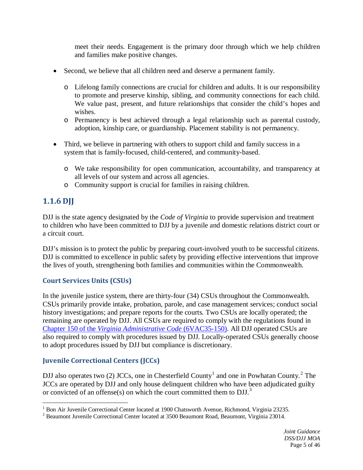meet their needs. Engagement is the primary door through which we help children and families make positive changes.

- Second, we believe that all children need and deserve a permanent family.
	- o Lifelong family connections are crucial for children and adults. It is our responsibility to promote and preserve kinship, sibling, and community connections for each child. We value past, present, and future relationships that consider the child's hopes and wishes.
	- o Permanency is best achieved through a legal relationship such as parental custody, adoption, kinship care, or guardianship. Placement stability is not permanency.
- Third, we believe in partnering with others to support child and family success in a system that is family-focused, child-centered, and community-based.
	- o We take responsibility for open communication, accountability, and transparency at all levels of our system and across all agencies.
	- o Community support is crucial for families in raising children.

## <span id="page-5-0"></span>**1.1.6 DJJ**

DJJ is the state agency designated by the *Code of Virginia* to provide supervision and treatment to children who have been committed to DJJ by a juvenile and domestic relations district court or a circuit court.

DJJ's mission is to protect the public by preparing court-involved youth to be successful citizens. DJJ is committed to excellence in public safety by providing effective interventions that improve the lives of youth, strengthening both families and communities within the Commonwealth.

### **Court Services Units (CSUs)**

In the juvenile justice system, there are thirty-four (34) CSUs throughout the Commonwealth. CSUs primarily provide intake, probation, parole, and case management services; conduct social history investigations; and prepare reports for the courts. Two CSUs are locally operated; the remaining are operated by DJJ. All CSUs are required to comply with the regulations found in Chapter 150 of the *[Virginia Administrative Code](http://law.lis.virginia.gov/admincode/title6/agency35/chapter150/)* (6VAC35-150). All DJJ operated CSUs are also required to comply with procedures issued by DJJ. Locally-operated CSUs generally choose to adopt procedures issued by DJJ but compliance is discretionary.

### <span id="page-5-3"></span>**Juvenile Correctional Centers (JCCs)**

DJJ also operates two  $(2)$  $(2)$  $(2)$  JCCs, one in Chesterfield County<sup>[1](#page-5-1)</sup> and one in Powhatan County.<sup>2</sup> The JCCs are operated by DJJ and only house delinquent children who have been adjudicated guilty or convicted of an offense(s) on which the court committed them to DJJ.<sup>[3](#page-5-3)</sup>

<sup>&</sup>lt;sup>1</sup> Bon Air Juvenile Correctional Center located at 1900 Chatsworth Avenue, Richmond, Virginia 23235.  $\overline{a}$ 

<span id="page-5-2"></span><span id="page-5-1"></span><sup>&</sup>lt;sup>2</sup> Beaumont Juvenile Correctional Center located at 3500 Beaumont Road, Beaumont, Virginia 23014.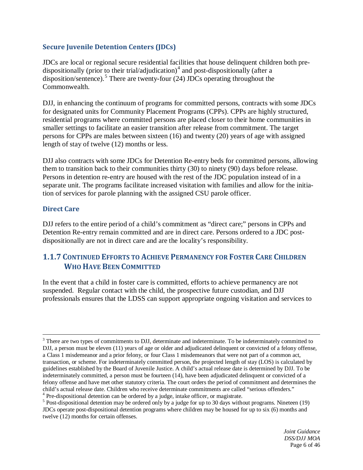### **Secure Juvenile Detention Centers (JDCs)**

JDCs are local or regional secure residential facilities that house delinquent children both pre-dispositionally (prior to their trial/adjudication)<sup>[4](#page-6-1)</sup> and post-dispositionally (after a disposition/sentence).<sup>[5](#page-6-2)</sup> There are twenty-four (24) JDCs operating throughout the Commonwealth.

DJJ, in enhancing the continuum of programs for committed persons, contracts with some JDCs for designated units for Community Placement Programs (CPPs). CPPs are highly structured, residential programs where committed persons are placed closer to their home communities in smaller settings to facilitate an easier transition after release from commitment. The target persons for CPPs are males between sixteen (16) and twenty (20) years of age with assigned length of stay of twelve (12) months or less.

DJJ also contracts with some JDCs for Detention Re-entry beds for committed persons, allowing them to transition back to their communities thirty (30) to ninety (90) days before release. Persons in detention re-entry are housed with the rest of the JDC population instead of in a separate unit. The programs facilitate increased visitation with families and allow for the initiation of services for parole planning with the assigned CSU parole officer.

#### **Direct Care**

 $\overline{a}$ 

DJJ refers to the entire period of a child's commitment as "direct care;" persons in CPPs and Detention Re-entry remain committed and are in direct care. Persons ordered to a JDC postdispositionally are not in direct care and are the locality's responsibility.

## <span id="page-6-0"></span>**1.1.7 CONTINUED EFFORTS TO ACHIEVE PERMANENCY FOR FOSTER CARE CHILDREN WHO HAVE BEEN COMMITTED**

In the event that a child in foster care is committed, efforts to achieve permanency are not suspended. Regular contact with the child, the prospective future custodian, and DJJ professionals ensures that the LDSS can support appropriate ongoing visitation and services to

<span id="page-6-2"></span><span id="page-6-1"></span> $5$  Post-dispositional detention may be ordered only by a judge for up to 30 days without programs. Nineteen (19)

<sup>&</sup>lt;sup>3</sup> There are two types of commitments to DJJ, determinate and indeterminate. To be indeterminately committed to DJJ, a person must be eleven (11) years of age or older and adjudicated delinquent or convicted of a felony offense, a Class 1 misdemeanor and a prior felony, or four Class 1 misdemeanors that were not part of a common act, transaction, or scheme. For indeterminately committed person, the projected length of stay (LOS) is calculated by guidelines established by the Board of Juvenile Justice. A child's actual release date is determined by DJJ. To be indeterminately committed, a person must be fourteen (14), have been adjudicated delinquent or convicted of a felony offense and have met other statutory criteria. The court orders the period of commitment and determines the child's actual release date. Children who receive determinate commitments are called "serious offenders."<br><sup>4</sup> Pre-dispositional detention can be ordered by a judge, intake officer, or magistrate.

JDCs operate post-dispositional detention programs where children may be housed for up to six (6) months and twelve (12) months for certain offenses.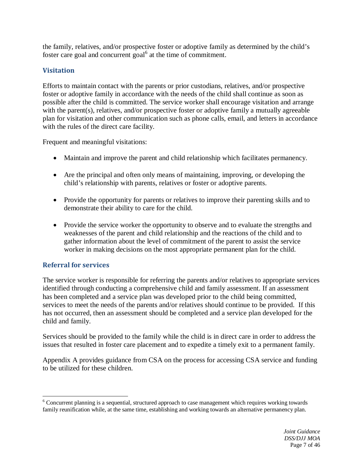the family, relatives, and/or prospective foster or adoptive family as determined by the child's foster care goal and concurrent goal $<sup>6</sup>$  $<sup>6</sup>$  $<sup>6</sup>$  at the time of commitment.</sup>

## **Visitation**

Efforts to maintain contact with the parents or prior custodians, relatives, and/or prospective foster or adoptive family in accordance with the needs of the child shall continue as soon as possible after the child is committed. The service worker shall encourage visitation and arrange with the parent(s), relatives, and/or prospective foster or adoptive family a mutually agreeable plan for visitation and other communication such as phone calls, email, and letters in accordance with the rules of the direct care facility.

Frequent and meaningful visitations:

- Maintain and improve the parent and child relationship which facilitates permanency.
- Are the principal and often only means of maintaining, improving, or developing the child's relationship with parents, relatives or foster or adoptive parents.
- Provide the opportunity for parents or relatives to improve their parenting skills and to demonstrate their ability to care for the child.
- Provide the service worker the opportunity to observe and to evaluate the strengths and weaknesses of the parent and child relationship and the reactions of the child and to gather information about the level of commitment of the parent to assist the service worker in making decisions on the most appropriate permanent plan for the child.

### **Referral for services**

The service worker is responsible for referring the parents and/or relatives to appropriate services identified through conducting a comprehensive child and family assessment. If an assessment has been completed and a service plan was developed prior to the child being committed, services to meet the needs of the parents and/or relatives should continue to be provided. If this has not occurred, then an assessment should be completed and a service plan developed for the child and family.

Services should be provided to the family while the child is in direct care in order to address the issues that resulted in foster care placement and to expedite a timely exit to a permanent family.

Appendix A provides guidance from CSA on the process for accessing CSA service and funding to be utilized for these children.

<span id="page-7-0"></span> $6$  Concurrent planning is a sequential, structured approach to case management which requires working towards family reunification while, at the same time, establishing and working towards an alternative permanency plan.  $\overline{a}$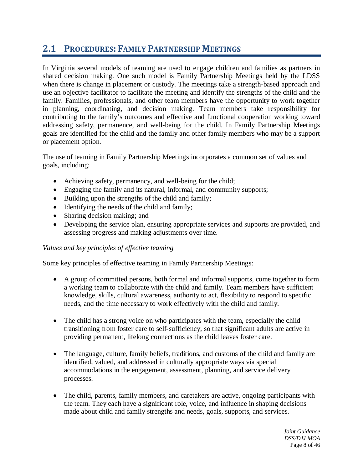## <span id="page-8-0"></span>**2.1 PROCEDURES: FAMILY PARTNERSHIP MEETINGS**

In Virginia several models of teaming are used to engage children and families as partners in shared decision making. One such model is Family Partnership Meetings held by the LDSS when there is change in placement or custody. The meetings take a strength-based approach and use an objective facilitator to facilitate the meeting and identify the strengths of the child and the family. Families, professionals, and other team members have the opportunity to work together in planning, coordinating, and decision making. Team members take responsibility for contributing to the family's outcomes and effective and functional cooperation working toward addressing safety, permanence, and well-being for the child. In Family Partnership Meetings goals are identified for the child and the family and other family members who may be a support or placement option.

The use of teaming in Family Partnership Meetings incorporates a common set of values and goals, including:

- Achieving safety, permanency, and well-being for the child;
- Engaging the family and its natural, informal, and community supports;
- Building upon the strengths of the child and family;
- Identifying the needs of the child and family;
- Sharing decision making; and
- Developing the service plan, ensuring appropriate services and supports are provided, and assessing progress and making adjustments over time.

#### *Values and key principles of effective teaming*

Some key principles of effective teaming in Family Partnership Meetings:

- A group of committed persons, both formal and informal supports, come together to form a working team to collaborate with the child and family. Team members have sufficient knowledge, skills, cultural awareness, authority to act, flexibility to respond to specific needs, and the time necessary to work effectively with the child and family.
- The child has a strong voice on who participates with the team, especially the child transitioning from foster care to self-sufficiency, so that significant adults are active in providing permanent, lifelong connections as the child leaves foster care.
- The language, culture, family beliefs, traditions, and customs of the child and family are identified, valued, and addressed in culturally appropriate ways via special accommodations in the engagement, assessment, planning, and service delivery processes.
- The child, parents, family members, and caretakers are active, ongoing participants with the team. They each have a significant role, voice, and influence in shaping decisions made about child and family strengths and needs, goals, supports, and services.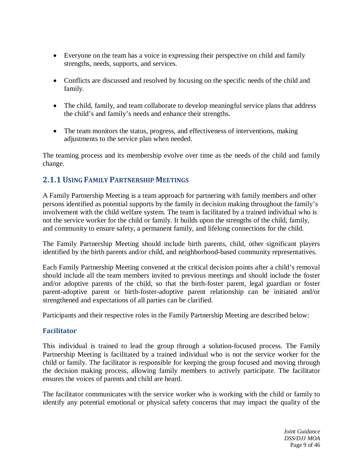- Everyone on the team has a voice in expressing their perspective on child and family strengths, needs, supports, and services.
- Conflicts are discussed and resolved by focusing on the specific needs of the child and family.
- The child, family, and team collaborate to develop meaningful service plans that address the child's and family's needs and enhance their strengths.
- The team monitors the status, progress, and effectiveness of interventions, making adjustments to the service plan when needed.

The teaming process and its membership evolve over time as the needs of the child and family change.

## <span id="page-9-0"></span>**2.1.1USING FAMILY PARTNERSHIP MEETINGS**

A Family Partnership Meeting is a team approach for partnering with family members and other persons identified as potential supports by the family in decision making throughout the family's involvement with the child welfare system. The team is facilitated by a trained individual who is not the service worker for the child or family. It builds upon the strengths of the child, family, and community to ensure safety, a permanent family, and lifelong connections for the child.

The Family Partnership Meeting should include birth parents, child, other significant players identified by the birth parents and/or child, and neighborhood-based community representatives.

Each Family Partnership Meeting convened at the critical decision points after a child's removal should include all the team members invited to previous meetings and should include the foster and/or adoptive parents of the child, so that the birth-foster parent, legal guardian or foster parent-adoptive parent or birth-foster-adoptive parent relationship can be initiated and/or strengthened and expectations of all parties can be clarified.

Participants and their respective roles in the Family Partnership Meeting are described below:

#### **Facilitator**

This individual is trained to lead the group through a solution-focused process. The Family Partnership Meeting is facilitated by a trained individual who is not the service worker for the child or family. The facilitator is responsible for keeping the group focused and moving through the decision making process, allowing family members to actively participate. The facilitator ensures the voices of parents and child are heard.

The facilitator communicates with the service worker who is working with the child or family to identify any potential emotional or physical safety concerns that may impact the quality of the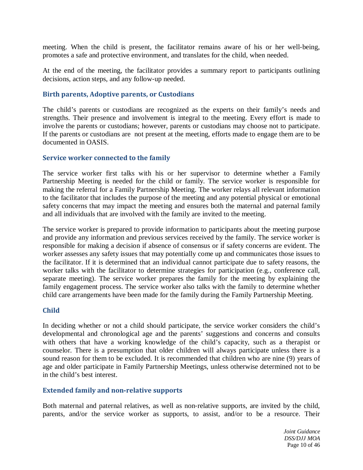meeting. When the child is present, the facilitator remains aware of his or her well‐being, promotes a safe and protective environment, and translates for the child, when needed.

At the end of the meeting, the facilitator provides a summary report to participants outlining decisions, action steps, and any follow‐up needed.

#### **Birth parents, Adoptive parents, or Custodians**

The child's parents or custodians are recognized as the experts on their family's needs and strengths. Their presence and involvement is integral to the meeting. Every effort is made to involve the parents or custodians; however, parents or custodians may choose not to participate. If the parents or custodians are not present at the meeting, efforts made to engage them are to be documented in OASIS.

#### **Service worker connected to the family**

The service worker first talks with his or her supervisor to determine whether a Family Partnership Meeting is needed for the child or family. The service worker is responsible for making the referral for a Family Partnership Meeting. The worker relays all relevant information to the facilitator that includes the purpose of the meeting and any potential physical or emotional safety concerns that may impact the meeting and ensures both the maternal and paternal family and all individuals that are involved with the family are invited to the meeting.

The service worker is prepared to provide information to participants about the meeting purpose and provide any information and previous services received by the family. The service worker is responsible for making a decision if absence of consensus or if safety concerns are evident. The worker assesses any safety issues that may potentially come up and communicates those issues to the facilitator. If it is determined that an individual cannot participate due to safety reasons, the worker talks with the facilitator to determine strategies for participation (e.g., conference call, separate meeting). The service worker prepares the family for the meeting by explaining the family engagement process. The service worker also talks with the family to determine whether child care arrangements have been made for the family during the Family Partnership Meeting.

#### **Child**

In deciding whether or not a child should participate, the service worker considers the child's developmental and chronological age and the parents' suggestions and concerns and consults with others that have a working knowledge of the child's capacity, such as a therapist or counselor*.* There is a presumption that older children will always participate unless there is a sound reason for them to be excluded. It is recommended that children who are nine (9) years of age and older participate in Family Partnership Meetings, unless otherwise determined not to be in the child's best interest.

#### **Extended family and non**‐**relative supports**

Both maternal and paternal relatives, as well as non-relative supports, are invited by the child, parents, and/or the service worker as supports, to assist, and/or to be a resource. Their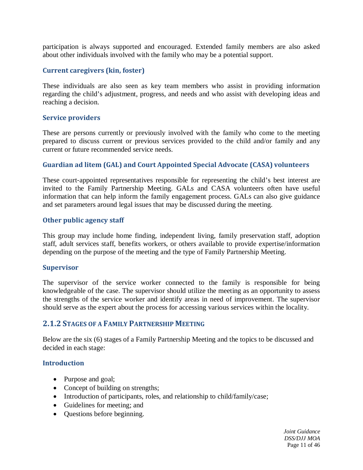participation is always supported and encouraged. Extended family members are also asked about other individuals involved with the family who may be a potential support.

#### **Current caregivers (kin, foster)**

These individuals are also seen as key team members who assist in providing information regarding the child's adjustment, progress, and needs and who assist with developing ideas and reaching a decision.

#### **Service providers**

These are persons currently or previously involved with the family who come to the meeting prepared to discuss current or previous services provided to the child and/or family and any current or future recommended service needs.

#### **Guardian ad litem (GAL) and Court Appointed Special Advocate (CASA) volunteers**

These court-appointed representatives responsible for representing the child's best interest are invited to the Family Partnership Meeting. GALs and CASA volunteers often have useful information that can help inform the family engagement process. GALs can also give guidance and set parameters around legal issues that may be discussed during the meeting.

#### **Other public agency staff**

This group may include home finding, independent living, family preservation staff, adoption staff, adult services staff, benefits workers, or others available to provide expertise/information depending on the purpose of the meeting and the type of Family Partnership Meeting.

#### **Supervisor**

The supervisor of the service worker connected to the family is responsible for being knowledgeable of the case. The supervisor should utilize the meeting as an opportunity to assess the strengths of the service worker and identify areas in need of improvement. The supervisor should serve as the expert about the process for accessing various services within the locality.

#### <span id="page-11-0"></span>**2.1.2 STAGES OF A FAMILY PARTNERSHIP MEETING**

Below are the six (6) stages of a Family Partnership Meeting and the topics to be discussed and decided in each stage:

#### **Introduction**

- Purpose and goal;
- Concept of building on strengths;
- Introduction of participants, roles, and relationship to child/family/case;
- Guidelines for meeting; and
- Questions before beginning.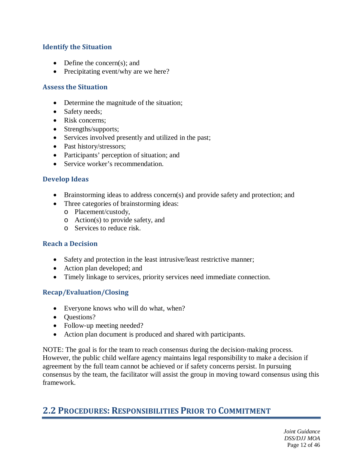### **Identify the Situation**

- Define the concern(s); and
- Precipitating event/why are we here?

#### **Assess the Situation**

- Determine the magnitude of the situation;
- Safety needs;
- Risk concerns;
- Strengths/supports;
- Services involved presently and utilized in the past;
- Past history/stressors;
- Participants' perception of situation; and
- Service worker's recommendation.

#### **Develop Ideas**

- Brainstorming ideas to address concern(s) and provide safety and protection; and
- Three categories of brainstorming ideas:
	- o Placement/custody,
	- o Action(s) to provide safety, and
	- o Services to reduce risk.

#### **Reach a Decision**

- Safety and protection in the least intrusive/least restrictive manner;
- Action plan developed; and
- Timely linkage to services, priority services need immediate connection.

#### **Recap/Evaluation/Closing**

- Everyone knows who will do what, when?
- Ouestions?
- Follow-up meeting needed?
- Action plan document is produced and shared with participants.

NOTE: The goal is for the team to reach consensus during the decision‐making process. However, the public child welfare agency maintains legal responsibility to make a decision if agreement by the full team cannot be achieved or if safety concerns persist. In pursuing consensus by the team, the facilitator will assist the group in moving toward consensus using this framework.

## <span id="page-12-0"></span>**2.2 PROCEDURES: RESPONSIBILITIES PRIOR TO COMMITMENT**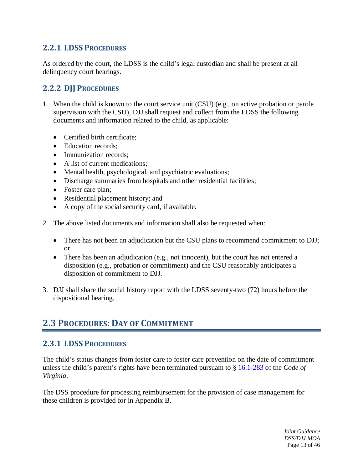## <span id="page-13-0"></span>**2.2.1 LDSS PROCEDURES**

As ordered by the court, the LDSS is the child's legal custodian and shall be present at all delinquency court hearings.

## <span id="page-13-1"></span>**2.2.2 DJJ PROCEDURES**

- 1. When the child is known to the court service unit (CSU) (e.g., on active probation or parole supervision with the CSU), DJJ shall request and collect from the LDSS the following documents and information related to the child, as applicable:
	- Certified birth certificate;
	- Education records:
	- Immunization records:
	- A list of current medications;
	- Mental health, psychological, and psychiatric evaluations;
	- Discharge summaries from hospitals and other residential facilities;
	- Foster care plan;
	- Residential placement history; and
	- A copy of the social security card, if available.
- 2. The above listed documents and information shall also be requested when:
	- There has not been an adjudication but the CSU plans to recommend commitment to DJJ; or
	- There has been an adjudication (e.g., not innocent), but the court has not entered a disposition (e.g., probation or commitment) and the CSU reasonably anticipates a disposition of commitment to DJJ.
- 3. DJJ shall share the social history report with the LDSS seventy-two (72) hours before the dispositional hearing.

## <span id="page-13-2"></span>**2.3 PROCEDURES: DAY OF COMMITMENT**

## <span id="page-13-3"></span>**2.3.1 LDSS PROCEDURES**

The child's status changes from foster care to foster care prevention on the date of commitment unless the child's parent's rights have been terminated pursuant to § [16.1-283](http://law.lis.virginia.gov/vacode/16.1-283/) of the *Code of Virginia*.

The DSS procedure for processing reimbursement for the provision of case management for these children is provided for in Appendix B.

> *Joint Guidance DSS/DJJ MOA* Page 13 of 46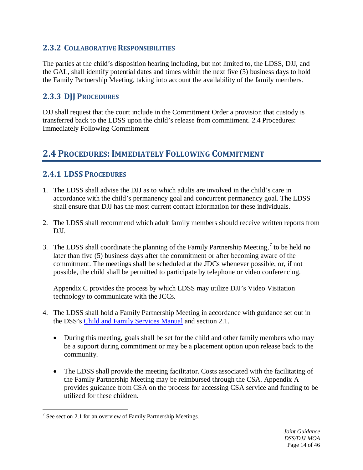## <span id="page-14-0"></span>**2.3.2 COLLABORATIVE RESPONSIBILITIES**

The parties at the child's disposition hearing including, but not limited to, the LDSS, DJJ, and the GAL, shall identify potential dates and times within the next five (5) business days to hold the Family Partnership Meeting, taking into account the availability of the family members.

## <span id="page-14-1"></span>**2.3.3 DJJ PROCEDURES**

DJJ shall request that the court include in the Commitment Order a provision that custody is transferred back to the LDSS upon the child's release from commitment. 2.4 Procedures: Immediately Following Commitment

## <span id="page-14-2"></span>**2.4 PROCEDURES: IMMEDIATELY FOLLOWING COMMITMENT**

## <span id="page-14-3"></span>**2.4.1 LDSS PROCEDURES**

- 1. The LDSS shall advise the DJJ as to which adults are involved in the child's care in accordance with the child's permanency goal and concurrent permanency goal. The LDSS shall ensure that DJJ has the most current contact information for these individuals.
- 2. The LDSS shall recommend which adult family members should receive written reports from DJJ.
- 3. The LDSS shall coordinate the planning of the Family Partnership Meeting,  $\frac{7}{1}$  $\frac{7}{1}$  $\frac{7}{1}$  to be held no later than five (5) business days after the commitment or after becoming aware of the commitment. The meetings shall be scheduled at the JDCs whenever possible, or, if not possible, the child shall be permitted to participate by telephone or video conferencing.

Appendix C provides the process by which LDSS may utilize DJJ's Video Visitation technology to communicate with the JCCs.

- 4. The LDSS shall hold a Family Partnership Meeting in accordance with guidance set out in the DSS's [Child and Family Services Manual](http://www.dss.virginia.gov/about/manuals.html) and section 2.1.
	- During this meeting, goals shall be set for the child and other family members who may be a support during commitment or may be a placement option upon release back to the community.
	- The LDSS shall provide the meeting facilitator. Costs associated with the facilitating of the Family Partnership Meeting may be reimbursed through the CSA. Appendix A provides guidance from CSA on the process for accessing CSA service and funding to be utilized for these children.

<span id="page-14-4"></span> $7$  See section 2.1 for an overview of Family Partnership Meetings.  $\overline{a}$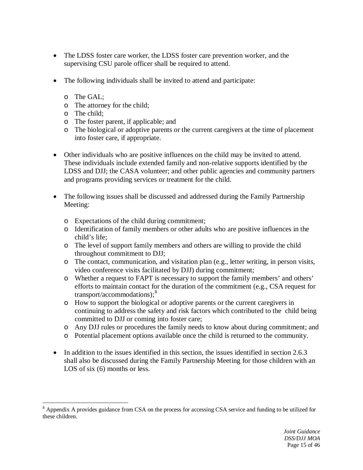- The LDSS foster care worker, the LDSS foster care prevention worker, and the supervising CSU parole officer shall be required to attend.
- The following individuals shall be invited to attend and participate:
	- o The GAL;
	- o The attorney for the child;
	- o The child;

 $\overline{a}$ 

- o The foster parent, if applicable; and
- o The biological or adoptive parents or the current caregivers at the time of placement into foster care, if appropriate.
- Other individuals who are positive influences on the child may be invited to attend. These individuals include extended family and non-relative supports identified by the LDSS and DJJ; the CASA volunteer; and other public agencies and community partners and programs providing services or treatment for the child.
- The following issues shall be discussed and addressed during the Family Partnership Meeting:
	- o Expectations of the child during commitment;
	- o Identification of family members or other adults who are positive influences in the child's life;
	- o The level of support family members and others are willing to provide the child throughout commitment to DJJ;
	- o The contact, communication, and visitation plan (e.g., letter writing, in person visits, video conference visits facilitated by DJJ) during commitment;
	- o Whether a request to FAPT is necessary to support the family members' and others' efforts to maintain contact for the duration of the commitment (e.g., CSA request for  $transport/accommodations)$ ;<sup>[8](#page-15-0)</sup>
	- o How to support the biological or adoptive parents or the current caregivers in continuing to address the safety and risk factors which contributed to the child being committed to DJJ or coming into foster care;
	- o Any DJJ rules or procedures the family needs to know about during commitment; and
	- o Potential placement options available once the child is returned to the community.
- In addition to the issues identified in this section, the issues identified in section 2.6.3 shall also be discussed during the Family Partnership Meeting for those children with an LOS of six  $(6)$  months or less.

<span id="page-15-0"></span><sup>&</sup>lt;sup>8</sup> Appendix A provides guidance from CSA on the process for accessing CSA service and funding to be utilized for these children.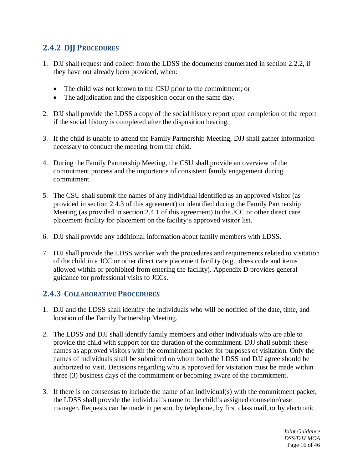## <span id="page-16-0"></span>**2.4.2 DJJ PROCEDURES**

- 1. DJJ shall request and collect from the LDSS the documents enumerated in section 2.2.2, if they have not already been provided, when:
	- The child was not known to the CSU prior to the commitment; or
	- The adjudication and the disposition occur on the same day.
- 2. DJJ shall provide the LDSS a copy of the social history report upon completion of the report if the social history is completed after the disposition hearing.
- 3. If the child is unable to attend the Family Partnership Meeting, DJJ shall gather information necessary to conduct the meeting from the child.
- 4. During the Family Partnership Meeting, the CSU shall provide an overview of the commitment process and the importance of consistent family engagement during commitment.
- 5. The CSU shall submit the names of any individual identified as an approved visitor (as provided in section 2.4.3 of this agreement) or identified during the Family Partnership Meeting (as provided in section 2.4.1 of this agreement) to the JCC or other direct care placement facility for placement on the facility's approved visitor list.
- 6. DJJ shall provide any additional information about family members with LDSS.
- 7. DJJ shall provide the LDSS worker with the procedures and requirements related to visitation of the child in a JCC or other direct care placement facility (e.g., dress code and items allowed within or prohibited from entering the facility). Appendix D provides general guidance for professional visits to JCCs.

### <span id="page-16-1"></span>**2.4.3 COLLABORATIVE PROCEDURES**

- 1. DJJ and the LDSS shall identify the individuals who will be notified of the date, time, and location of the Family Partnership Meeting.
- 2. The LDSS and DJJ shall identify family members and other individuals who are able to provide the child with support for the duration of the commitment. DJJ shall submit these names as approved visitors with the commitment packet for purposes of visitation. Only the names of individuals shall be submitted on whom both the LDSS and DJJ agree should be authorized to visit. Decisions regarding who is approved for visitation must be made within three (3) business days of the commitment or becoming aware of the commitment.
- 3. If there is no consensus to include the name of an individual(s) with the commitment packet, the LDSS shall provide the individual's name to the child's assigned counselor/case manager. Requests can be made in person, by telephone, by first class mail, or by electronic

*Joint Guidance DSS/DJJ MOA* Page 16 of 46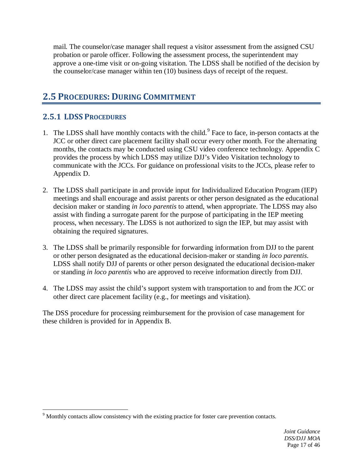mail. The counselor/case manager shall request a visitor assessment from the assigned CSU probation or parole officer. Following the assessment process, the superintendent may approve a one-time visit or on-going visitation. The LDSS shall be notified of the decision by the counselor/case manager within ten (10) business days of receipt of the request.

## <span id="page-17-0"></span>**2.5 PROCEDURES: DURING COMMITMENT**

## <span id="page-17-1"></span>**2.5.1 LDSS PROCEDURES**

- 1. The LDSS shall have monthly contacts with the child. [9](#page-17-2) Face to face, in-person contacts at the JCC or other direct care placement facility shall occur every other month. For the alternating months, the contacts may be conducted using CSU video conference technology. Appendix C provides the process by which LDSS may utilize DJJ's Video Visitation technology to communicate with the JCCs. For guidance on professional visits to the JCCs, please refer to Appendix D.
- 2. The LDSS shall participate in and provide input for Individualized Education Program (IEP) meetings and shall encourage and assist parents or other person designated as the educational decision maker or standing *in loco parentis* to attend, when appropriate. The LDSS may also assist with finding a surrogate parent for the purpose of participating in the IEP meeting process, when necessary. The LDSS is not authorized to sign the IEP, but may assist with obtaining the required signatures.
- 3. The LDSS shall be primarily responsible for forwarding information from DJJ to the parent or other person designated as the educational decision-maker or standing *in loco parentis*. LDSS shall notify DJJ of parents or other person designated the educational decision-maker or standing *in loco parentis* who are approved to receive information directly from DJJ.
- 4. The LDSS may assist the child's support system with transportation to and from the JCC or other direct care placement facility (e.g., for meetings and visitation).

The DSS procedure for processing reimbursement for the provision of case management for these children is provided for in Appendix B.

<span id="page-17-2"></span> $9$  Monthly contacts allow consistency with the existing practice for foster care prevention contacts.  $\overline{a}$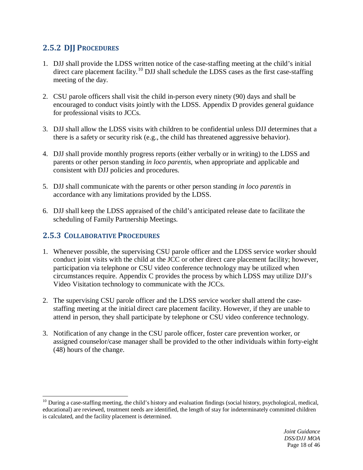## <span id="page-18-0"></span>**2.5.2 DJJ PROCEDURES**

- 1. DJJ shall provide the LDSS written notice of the case-staffing meeting at the child's initial direct care placement facility.<sup>[10](#page-18-2)</sup> DJJ shall schedule the LDSS cases as the first case-staffing meeting of the day.
- 2. CSU parole officers shall visit the child in-person every ninety (90) days and shall be encouraged to conduct visits jointly with the LDSS. Appendix D provides general guidance for professional visits to JCCs.
- 3. DJJ shall allow the LDSS visits with children to be confidential unless DJJ determines that a there is a safety or security risk (e.g., the child has threatened aggressive behavior).
- 4. DJJ shall provide monthly progress reports (either verbally or in writing) to the LDSS and parents or other person standing *in loco parentis*, when appropriate and applicable and consistent with DJJ policies and procedures.
- 5. DJJ shall communicate with the parents or other person standing *in loco parentis* in accordance with any limitations provided by the LDSS.
- 6. DJJ shall keep the LDSS appraised of the child's anticipated release date to facilitate the scheduling of Family Partnership Meetings.

## <span id="page-18-1"></span>**2.5.3 COLLABORATIVE PROCEDURES**

- 1. Whenever possible, the supervising CSU parole officer and the LDSS service worker should conduct joint visits with the child at the JCC or other direct care placement facility; however, participation via telephone or CSU video conference technology may be utilized when circumstances require. Appendix C provides the process by which LDSS may utilize DJJ's Video Visitation technology to communicate with the JCCs.
- 2. The supervising CSU parole officer and the LDSS service worker shall attend the casestaffing meeting at the initial direct care placement facility. However, if they are unable to attend in person, they shall participate by telephone or CSU video conference technology.
- 3. Notification of any change in the CSU parole officer, foster care prevention worker, or assigned counselor/case manager shall be provided to the other individuals within forty-eight (48) hours of the change.

<span id="page-18-2"></span> $10$  During a case-staffing meeting, the child's history and evaluation findings (social history, psychological, medical, educational) are reviewed, treatment needs are identified, the length of stay for indeterminately committed children is calculated, and the facility placement is determined.  $\overline{a}$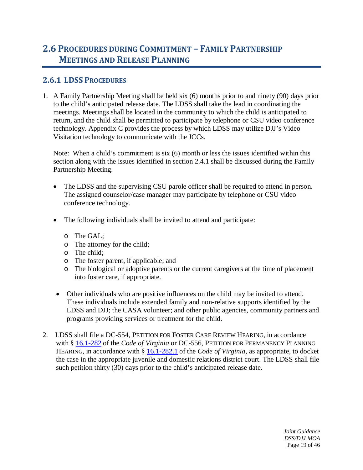## <span id="page-19-0"></span>**2.6 PROCEDURES DURING COMMITMENT – FAMILY PARTNERSHIP MEETINGS AND RELEASE PLANNING**

## <span id="page-19-1"></span>**2.6.1 LDSS PROCEDURES**

1. A Family Partnership Meeting shall be held six (6) months prior to and ninety (90) days prior to the child's anticipated release date. The LDSS shall take the lead in coordinating the meetings. Meetings shall be located in the community to which the child is anticipated to return, and the child shall be permitted to participate by telephone or CSU video conference technology. Appendix C provides the process by which LDSS may utilize DJJ's Video Visitation technology to communicate with the JCCs.

Note: When a child's commitment is six (6) month or less the issues identified within this section along with the issues identified in section 2.4.1 shall be discussed during the Family Partnership Meeting.

- The LDSS and the supervising CSU parole officer shall be required to attend in person. The assigned counselor/case manager may participate by telephone or CSU video conference technology.
- The following individuals shall be invited to attend and participate:
	- o The GAL;
	- o The attorney for the child;
	- o The child;
	- o The foster parent, if applicable; and
	- o The biological or adoptive parents or the current caregivers at the time of placement into foster care, if appropriate.
- Other individuals who are positive influences on the child may be invited to attend. These individuals include extended family and non-relative supports identified by the LDSS and DJJ; the CASA volunteer; and other public agencies, community partners and programs providing services or treatment for the child.
- 2. LDSS shall file a DC-554, PETITION FOR FOSTER CARE REVIEW HEARING, in accordance with § [16.1-282](http://law.lis.virginia.gov/vacode/title16.1/chapter11/section16.1-282/) of the *Code of Virginia* or DC-556, PETITION FOR PERMANENCY PLANNING HEARING, in accordance with § [16.1-282.1](http://law.lis.virginia.gov/vacode/title16.1/chapter11/section16.1-282.1/) of the *Code of Virginia*, as appropriate, to docket the case in the appropriate juvenile and domestic relations district court. The LDSS shall file such petition thirty (30) days prior to the child's anticipated release date.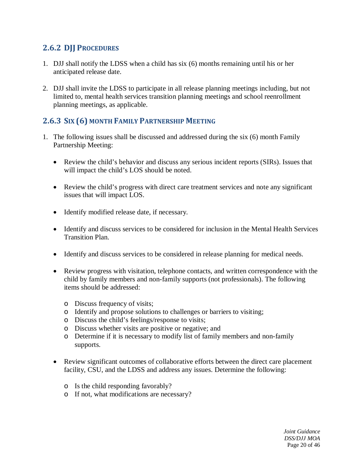## <span id="page-20-0"></span>**2.6.2 DJJ PROCEDURES**

- 1. DJJ shall notify the LDSS when a child has six (6) months remaining until his or her anticipated release date.
- 2. DJJ shall invite the LDSS to participate in all release planning meetings including, but not limited to, mental health services transition planning meetings and school reenrollment planning meetings, as applicable.

## <span id="page-20-1"></span>**2.6.3 SIX (6) MONTH FAMILY PARTNERSHIP MEETING**

- 1. The following issues shall be discussed and addressed during the six (6) month Family Partnership Meeting:
	- Review the child's behavior and discuss any serious incident reports (SIRs). Issues that will impact the child's LOS should be noted.
	- Review the child's progress with direct care treatment services and note any significant issues that will impact LOS.
	- Identify modified release date, if necessary.
	- Identify and discuss services to be considered for inclusion in the Mental Health Services Transition Plan.
	- Identify and discuss services to be considered in release planning for medical needs.
	- Review progress with visitation, telephone contacts, and written correspondence with the child by family members and non-family supports (not professionals). The following items should be addressed:
		- o Discuss frequency of visits;
		- o Identify and propose solutions to challenges or barriers to visiting;
		- o Discuss the child's feelings/response to visits;
		- o Discuss whether visits are positive or negative; and
		- o Determine if it is necessary to modify list of family members and non-family supports.
	- Review significant outcomes of collaborative efforts between the direct care placement facility, CSU, and the LDSS and address any issues. Determine the following:
		- o Is the child responding favorably?
		- o If not, what modifications are necessary?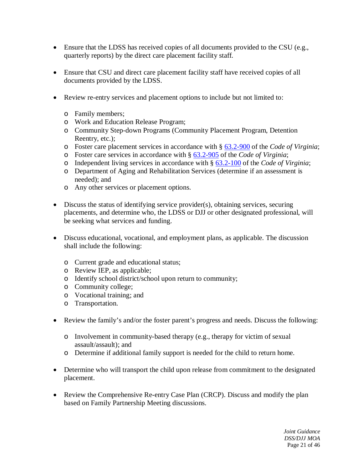- Ensure that the LDSS has received copies of all documents provided to the CSU (e.g., quarterly reports) by the direct care placement facility staff.
- Ensure that CSU and direct care placement facility staff have received copies of all documents provided by the LDSS.
- Review re-entry services and placement options to include but not limited to:
	- o Family members;
	- o Work and Education Release Program;
	- o Community Step-down Programs (Community Placement Program, Detention Reentry, etc.);
	- o Foster care placement services in accordance with § [63.2-900](http://law.lis.virginia.gov/vacode/63.2-900/) of the *Code of Virginia*;
	- o Foster care services in accordance with § [63.2-905](http://law.lis.virginia.gov/vacode/63.2-905/) of the *Code of Virginia*;
	- o Independent living services in accordance with § [63.2-100](http://law.lis.virginia.gov/vacode/63.2-100/) of the *Code of Virginia*;
	- o Department of Aging and Rehabilitation Services (determine if an assessment is needed); and
	- o Any other services or placement options.
- Discuss the status of identifying service provider(s), obtaining services, securing placements, and determine who, the LDSS or DJJ or other designated professional, will be seeking what services and funding.
- Discuss educational, vocational, and employment plans, as applicable. The discussion shall include the following:
	- o Current grade and educational status;
	- o Review IEP, as applicable;
	- o Identify school district/school upon return to community;
	- o Community college;
	- o Vocational training; and
	- o Transportation.
- Review the family's and/or the foster parent's progress and needs. Discuss the following:
	- o Involvement in community-based therapy (e.g., therapy for victim of sexual assault/assault); and
	- o Determine if additional family support is needed for the child to return home.
- Determine who will transport the child upon release from commitment to the designated placement.
- Review the Comprehensive Re-entry Case Plan (CRCP). Discuss and modify the plan based on Family Partnership Meeting discussions.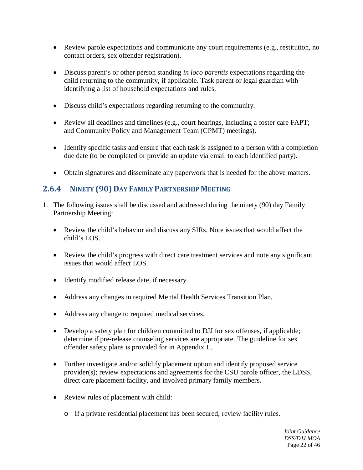- Review parole expectations and communicate any court requirements (e.g., restitution, no contact orders, sex offender registration).
- Discuss parent's or other person standing *in loco parentis* expectations regarding the child returning to the community, if applicable. Task parent or legal guardian with identifying a list of household expectations and rules.
- Discuss child's expectations regarding returning to the community.
- Review all deadlines and timelines (e.g., court hearings, including a foster care FAPT; and Community Policy and Management Team (CPMT) meetings).
- Identify specific tasks and ensure that each task is assigned to a person with a completion due date (to be completed or provide an update via email to each identified party).
- Obtain signatures and disseminate any paperwork that is needed for the above matters.

### <span id="page-22-0"></span>**2.6.4 NINETY (90) DAY FAMILY PARTNERSHIP MEETING**

- 1. The following issues shall be discussed and addressed during the ninety (90) day Family Partnership Meeting:
	- Review the child's behavior and discuss any SIRs. Note issues that would affect the child's LOS.
	- Review the child's progress with direct care treatment services and note any significant issues that would affect LOS.
	- Identify modified release date, if necessary.
	- Address any changes in required Mental Health Services Transition Plan.
	- Address any change to required medical services.
	- Develop a safety plan for children committed to DJJ for sex offenses, if applicable; determine if pre-release counseling services are appropriate. The guideline for sex offender safety plans is provided for in Appendix E.
	- Further investigate and/or solidify placement option and identify proposed service provider(s); review expectations and agreements for the CSU parole officer, the LDSS, direct care placement facility, and involved primary family members.
	- Review rules of placement with child:
		- o If a private residential placement has been secured, review facility rules.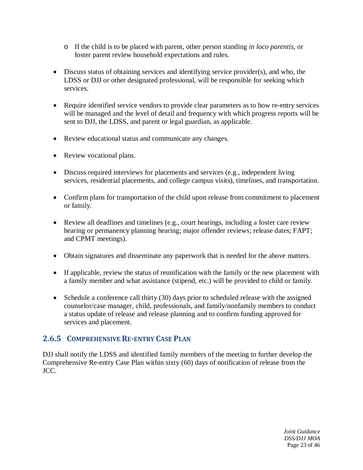- o If the child is to be placed with parent, other person standing *in loco parentis*, or foster parent review household expectations and rules.
- Discuss status of obtaining services and identifying service provider(s), and who, the LDSS or DJJ or other designated professional, will be responsible for seeking which services.
- Require identified service vendors to provide clear parameters as to how re-entry services will be managed and the level of detail and frequency with which progress reports will be sent to DJJ, the LDSS, and parent or legal guardian, as applicable.
- Review educational status and communicate any changes.
- Review vocational plans.
- Discuss required interviews for placements and services (e.g., independent living services, residential placements, and college campus visits), timelines, and transportation.
- Confirm plans for transportation of the child upon release from commitment to placement or family.
- Review all deadlines and timelines (e.g., court hearings, including a foster care review hearing or permanency planning hearing; major offender reviews; release dates; FAPT; and CPMT meetings).
- Obtain signatures and disseminate any paperwork that is needed for the above matters.
- If applicable, review the status of reunification with the family or the new placement with a family member and what assistance (stipend, etc.) will be provided to child or family.
- Schedule a conference call thirty (30) days prior to scheduled release with the assigned counselor/case manager, child, professionals, and family/nonfamily members to conduct a status update of release and release planning and to confirm funding approved for services and placement.

## <span id="page-23-0"></span>**2.6.5 COMPREHENSIVE RE-ENTRY CASE PLAN**

DJJ shall notify the LDSS and identified family members of the meeting to further develop the Comprehensive Re-entry Case Plan within sixty (60) days of notification of release from the JCC.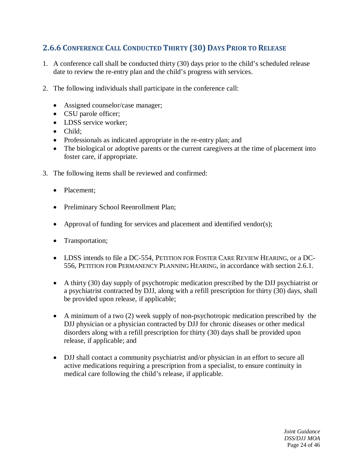## <span id="page-24-0"></span>**2.6.6 CONFERENCE CALL CONDUCTED THIRTY (30) DAYS PRIOR TO RELEASE**

- 1. A conference call shall be conducted thirty (30) days prior to the child's scheduled release date to review the re-entry plan and the child's progress with services.
- 2. The following individuals shall participate in the conference call:
	- Assigned counselor/case manager;
	- CSU parole officer;
	- LDSS service worker;
	- Child:
	- Professionals as indicated appropriate in the re-entry plan; and
	- The biological or adoptive parents or the current caregivers at the time of placement into foster care, if appropriate.
- 3. The following items shall be reviewed and confirmed:
	- Placement:
	- Preliminary School Reenrollment Plan;
	- Approval of funding for services and placement and identified vendor(s);
	- Transportation;
	- LDSS intends to file a DC-554, PETITION FOR FOSTER CARE REVIEW HEARING, or a DC-556, PETITION FOR PERMANENCY PLANNING HEARING, in accordance with section 2.6.1.
	- A thirty (30) day supply of psychotropic medication prescribed by the DJJ psychiatrist or a psychiatrist contracted by DJJ, along with a refill prescription for thirty (30) days, shall be provided upon release, if applicable;
	- A minimum of a two (2) week supply of non-psychotropic medication prescribed by the DJJ physician or a physician contracted by DJJ for chronic diseases or other medical disorders along with a refill prescription for thirty (30) days shall be provided upon release, if applicable; and
	- DJJ shall contact a community psychiatrist and/or physician in an effort to secure all active medications requiring a prescription from a specialist, to ensure continuity in medical care following the child's release, if applicable.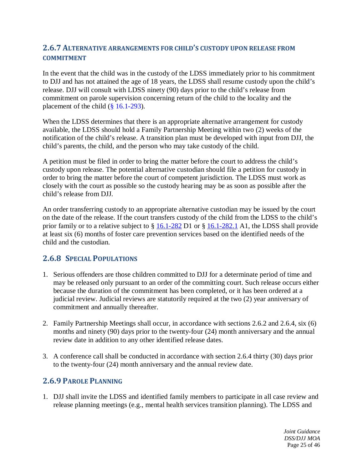### <span id="page-25-0"></span>**2.6.7 ALTERNATIVE ARRANGEMENTS FOR CHILD'S CUSTODY UPON RELEASE FROM COMMITMENT**

In the event that the child was in the custody of the LDSS immediately prior to his commitment to DJJ and has not attained the age of 18 years, the LDSS shall resume custody upon the child's release. DJJ will consult with LDSS ninety (90) days prior to the child's release from commitment on parole supervision concerning return of the child to the locality and the placement of the child  $(\S 16.1-293)$ .

When the LDSS determines that there is an appropriate alternative arrangement for custody available, the LDSS should hold a Family Partnership Meeting within two (2) weeks of the notification of the child's release. A transition plan must be developed with input from DJJ, the child's parents, the child, and the person who may take custody of the child.

A petition must be filed in order to bring the matter before the court to address the child's custody upon release. The potential alternative custodian should file a petition for custody in order to bring the matter before the court of competent jurisdiction. The LDSS must work as closely with the court as possible so the custody hearing may be as soon as possible after the child's release from DJJ.

An order transferring custody to an appropriate alternative custodian may be issued by the court on the date of the release. If the court transfers custody of the child from the LDSS to the child's prior family or to a relative subject to § [16.1-282](http://law.lis.virginia.gov/vacode/title16.1/chapter11/section16.1-282/) D1 or § [16.1-282.1](http://law.lis.virginia.gov/vacode/title16.1/chapter11/section16.1-282.1/) A1, the LDSS shall provide at least six (6) months of foster care prevention services based on the identified needs of the child and the custodian.

### <span id="page-25-1"></span>**2.6.8 SPECIAL POPULATIONS**

- 1. Serious offenders are those children committed to DJJ for a determinate period of time and may be released only pursuant to an order of the committing court. Such release occurs either because the duration of the commitment has been completed, or it has been ordered at a judicial review. Judicial reviews are statutorily required at the two (2) year anniversary of commitment and annually thereafter.
- 2. Family Partnership Meetings shall occur, in accordance with sections 2.6.2 and 2.6.4, six (6) months and ninety (90) days prior to the twenty-four (24) month anniversary and the annual review date in addition to any other identified release dates.
- 3. A conference call shall be conducted in accordance with section 2.6.4 thirty (30) days prior to the twenty-four (24) month anniversary and the annual review date.

## <span id="page-25-2"></span>**2.6.9 PAROLE PLANNING**

1. DJJ shall invite the LDSS and identified family members to participate in all case review and release planning meetings (e.g., mental health services transition planning). The LDSS and

> *Joint Guidance DSS/DJJ MOA* Page 25 of 46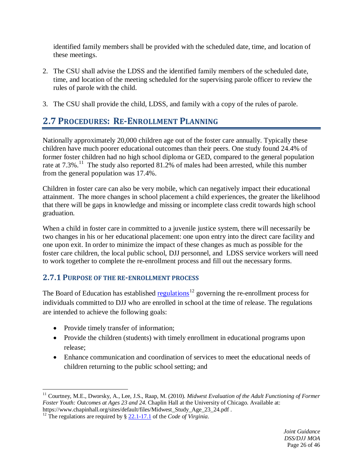identified family members shall be provided with the scheduled date, time, and location of these meetings.

- 2. The CSU shall advise the LDSS and the identified family members of the scheduled date, time, and location of the meeting scheduled for the supervising parole officer to review the rules of parole with the child.
- <span id="page-26-0"></span>3. The CSU shall provide the child, LDSS, and family with a copy of the rules of parole.

## **2.7 PROCEDURES: RE-ENROLLMENT PLANNING**

Nationally approximately 20,000 children age out of the foster care annually. Typically these children have much poorer educational outcomes than their peers. One study found 24.4% of former foster children had no high school diploma or GED, compared to the general population rate at 7.3%.<sup>[11](#page-26-2)</sup> The study also reported 81.2% of males had been arrested, while this number from the general population was 17.4%.

Children in foster care can also be very mobile, which can negatively impact their educational attainment. The more changes in school placement a child experiences, the greater the likelihood that there will be gaps in knowledge and missing or incomplete class credit towards high school graduation.

When a child in foster care in committed to a juvenile justice system, there will necessarily be two changes in his or her educational placement: one upon entry into the direct care facility and one upon exit. In order to minimize the impact of these changes as much as possible for the foster care children, the local public school, DJJ personnel, and LDSS service workers will need to work together to complete the re-enrollment process and fill out the necessary forms.

## <span id="page-26-1"></span>**2.7.1 PURPOSE OF THE RE-ENROLLMENT PROCESS**

The Board of Education has established [regulations](http://law.lis.virginia.gov/admincode/title8/agency20/chapter660/)<sup>[12](#page-26-3)</sup> governing the re-enrollment process for individuals committed to DJJ who are enrolled in school at the time of release. The regulations are intended to achieve the following goals:

- Provide timely transfer of information;
- Provide the children (students) with timely enrollment in educational programs upon release;
- Enhance communication and coordination of services to meet the educational needs of children returning to the public school setting; and

<span id="page-26-2"></span><sup>&</sup>lt;sup>11</sup> Courtney, M.E., Dworsky, A., Lee, J.S., Raap, M. (2010). *Midwest Evaluation of the Adult Functioning of Former Foster Youth: Outcomes at Ages 23 and 24.* Chaplin Hall at the University of Chicago. Available at: https://www.chapinhall.org/sites/default/files/Midwest\_Study\_Age\_23\_24.pdf.  $\overline{a}$ 

<span id="page-26-3"></span><sup>&</sup>lt;sup>12</sup> The regulations are required by [§ 22.1-17.1](http://law.lis.virginia.gov/vacode/22.1-17.1/) of the *Code of Virginia*.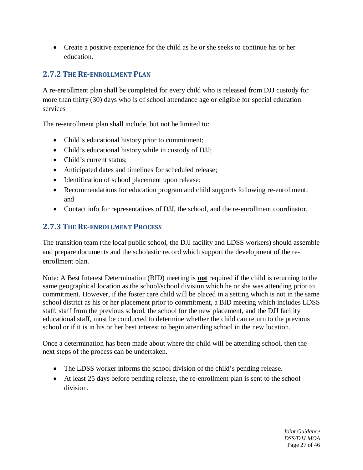• Create a positive experience for the child as he or she seeks to continue his or her education.

## <span id="page-27-0"></span>**2.7.2 THE RE-ENROLLMENT PLAN**

A re-enrollment plan shall be completed for every child who is released from DJJ custody for more than thirty (30) days who is of school attendance age or eligible for special education services

The re-enrollment plan shall include, but not be limited to:

- Child's educational history prior to commitment;
- Child's educational history while in custody of DJJ;
- Child's current status:
- Anticipated dates and timelines for scheduled release;
- Identification of school placement upon release;
- Recommendations for education program and child supports following re-enrollment; and
- Contact info for representatives of DJJ, the school, and the re-enrollment coordinator.

## <span id="page-27-1"></span>**2.7.3 THE RE-ENROLLMENT PROCESS**

The transition team (the local public school, the DJJ facility and LDSS workers) should assemble and prepare documents and the scholastic record which support the development of the reenrollment plan.

Note: A Best Interest Determination (BID) meeting is **not** required if the child is returning to the same geographical location as the school/school division which he or she was attending prior to commitment. However, if the foster care child will be placed in a setting which is not in the same school district as his or her placement prior to commitment, a BID meeting which includes LDSS staff, staff from the previous school, the school for the new placement, and the DJJ facility educational staff, must be conducted to determine whether the child can return to the previous school or if it is in his or her best interest to begin attending school in the new location.

Once a determination has been made about where the child will be attending school, then the next steps of the process can be undertaken.

- The LDSS worker informs the school division of the child's pending release.
- At least 25 days before pending release, the re-enrollment plan is sent to the school division.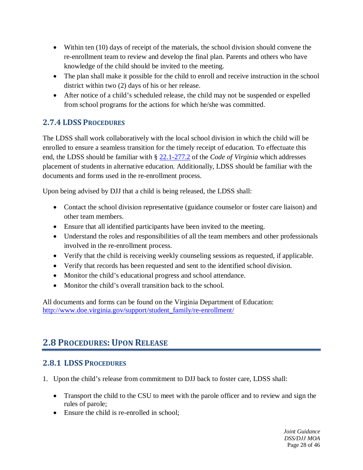- Within ten (10) days of receipt of the materials, the school division should convene the re-enrollment team to review and develop the final plan. Parents and others who have knowledge of the child should be invited to the meeting.
- The plan shall make it possible for the child to enroll and receive instruction in the school district within two (2) days of his or her release.
- After notice of a child's scheduled release, the child may not be suspended or expelled from school programs for the actions for which he/she was committed.

## <span id="page-28-0"></span>**2.7.4 LDSS PROCEDURES**

The LDSS shall work collaboratively with the local school division in which the child will be enrolled to ensure a seamless transition for the timely receipt of education. To effectuate this end, the LDSS should be familiar with § [22.1-277.2](http://law.lis.virginia.gov/vacode/22.1-277.2%20/) of the *Code of Virginia* which addresses placement of students in alternative education. Additionally, LDSS should be familiar with the documents and forms used in the re-enrollment process.

Upon being advised by DJJ that a child is being released, the LDSS shall:

- Contact the school division representative (guidance counselor or foster care liaison) and other team members.
- Ensure that all identified participants have been invited to the meeting.
- Understand the roles and responsibilities of all the team members and other professionals involved in the re-enrollment process.
- Verify that the child is receiving weekly counseling sessions as requested, if applicable.
- Verify that records has been requested and sent to the identified school division.
- Monitor the child's educational progress and school attendance.
- Monitor the child's overall transition back to the school.

All documents and forms can be found on the Virginia Department of Education: [http://www.doe.virginia.gov/support/student\\_family/re-enrollment/](http://www.doe.virginia.gov/support/student_family/re-enrollment/)

## <span id="page-28-1"></span>**2.8 PROCEDURES: UPON RELEASE**

## <span id="page-28-2"></span>**2.8.1 LDSS PROCEDURES**

- 1. Upon the child's release from commitment to DJJ back to foster care, LDSS shall:
	- Transport the child to the CSU to meet with the parole officer and to review and sign the rules of parole;
	- Ensure the child is re-enrolled in school: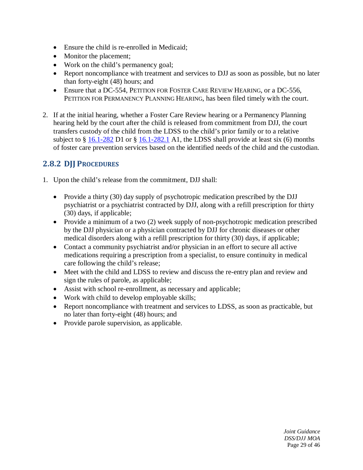- Ensure the child is re-enrolled in Medicaid;
- Monitor the placement:
- Work on the child's permanency goal;
- Report noncompliance with treatment and services to DJJ as soon as possible, but no later than forty-eight (48) hours; and
- Ensure that a DC-554, PETITION FOR FOSTER CARE REVIEW HEARING, or a DC-556, PETITION FOR PERMANENCY PLANNING HEARING, has been filed timely with the court.
- 2. If at the initial hearing, whether a Foster Care Review hearing or a Permanency Planning hearing held by the court after the child is released from commitment from DJJ, the court transfers custody of the child from the LDSS to the child's prior family or to a relative subject to  $\S$  [16.1-282](http://law.lis.virginia.gov/vacode/title16.1/chapter11/section16.1-282/) D1 or  $\S$  [16.1-282.1](http://law.lis.virginia.gov/vacode/title16.1/chapter11/section16.1-282.1/) A1, the LDSS shall provide at least six (6) months of foster care prevention services based on the identified needs of the child and the custodian.

## <span id="page-29-0"></span>**2.8.2 DJJ PROCEDURES**

- 1. Upon the child's release from the commitment, DJJ shall:
	- Provide a thirty (30) day supply of psychotropic medication prescribed by the DJJ psychiatrist or a psychiatrist contracted by DJJ, along with a refill prescription for thirty (30) days, if applicable;
	- Provide a minimum of a two (2) week supply of non-psychotropic medication prescribed by the DJJ physician or a physician contracted by DJJ for chronic diseases or other medical disorders along with a refill prescription for thirty (30) days, if applicable;
	- Contact a community psychiatrist and/or physician in an effort to secure all active medications requiring a prescription from a specialist, to ensure continuity in medical care following the child's release;
	- Meet with the child and LDSS to review and discuss the re-entry plan and review and sign the rules of parole, as applicable;
	- Assist with school re-enrollment, as necessary and applicable;
	- Work with child to develop employable skills;
	- Report noncompliance with treatment and services to LDSS, as soon as practicable, but no later than forty-eight (48) hours; and
	- Provide parole supervision, as applicable.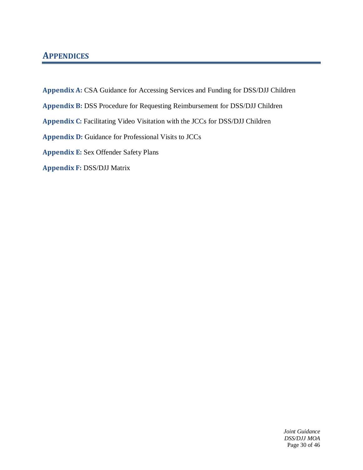## <span id="page-30-0"></span>**APPENDICES**

- **Appendix A:** CSA Guidance for Accessing Services and Funding for DSS/DJJ Children
- **Appendix B:** DSS Procedure for Requesting Reimbursement for DSS/DJJ Children
- **Appendix C:** Facilitating Video Visitation with the JCCs for DSS/DJJ Children
- **Appendix D:** Guidance for Professional Visits to JCCs
- **Appendix E:** Sex Offender Safety Plans
- **Appendix F:** DSS/DJJ Matrix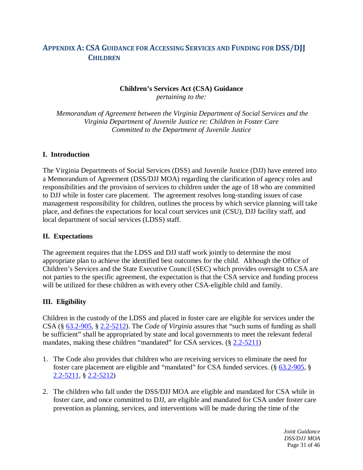## <span id="page-31-0"></span>**APPENDIX A: CSA GUIDANCE FOR ACCESSING SERVICES AND FUNDING FOR DSS/DJJ CHILDREN**

#### **Children's Services Act (CSA) Guidance** *pertaining to the:*

*Memorandum of Agreement between the Virginia Department of Social Services and the Virginia Department of Juvenile Justice re: Children in Foster Care Committed to the Department of Juvenile Justice*

#### **I. Introduction**

The Virginia Departments of Social Services (DSS) and Juvenile Justice (DJJ) have entered into a Memorandum of Agreement (DSS/DJJ MOA) regarding the clarification of agency roles and responsibilities and the provision of services to children under the age of 18 who are committed to DJJ while in foster care placement. The agreement resolves long-standing issues of case management responsibility for children, outlines the process by which service planning will take place, and defines the expectations for local court services unit (CSU), DJJ facility staff, and local department of social services (LDSS) staff.

#### **II. Expectations**

The agreement requires that the LDSS and DJJ staff work jointly to determine the most appropriate plan to achieve the identified best outcomes for the child. Although the Office of Children's Services and the State Executive Council (SEC) which provides oversight to CSA are not parties to the specific agreement, the expectation is that the CSA service and funding process will be utilized for these children as with every other CSA-eligible child and family.

#### **III. Eligibility**

Children in the custody of the LDSS and placed in foster care are eligible for services under the CSA (§ [63.2-905,](http://law.lis.virginia.gov/vacode/63.2-905/) § [2.2-5212\)](http://law.lis.virginia.gov/vacode/2.2-5212/). The *Code of Virginia* assures that "such sums of funding as shall be sufficient" shall be appropriated by state and local governments to meet the relevant federal mandates, making these children "mandated" for CSA services. (§ [2.2-5211\)](http://law.lis.virginia.gov/vacode/2.2-5211/)

- 1. The Code also provides that children who are receiving services to eliminate the need for foster care placement are eligible and "mandated" for CSA funded services. (§ [63.2-905,](http://law.lis.virginia.gov/vacode/63.2-905/) § [2.2-5211,](http://law.lis.virginia.gov/vacode/2.2-5211/) § [2.2-5212\)](http://law.lis.virginia.gov/vacode/title2.2/chapter52/section2.2-5212/)
- 2. The children who fall under the DSS/DJJ MOA are eligible and mandated for CSA while in foster care, and once committed to DJJ, are eligible and mandated for CSA under foster care prevention as planning, services, and interventions will be made during the time of the

*Joint Guidance DSS/DJJ MOA* Page 31 of 46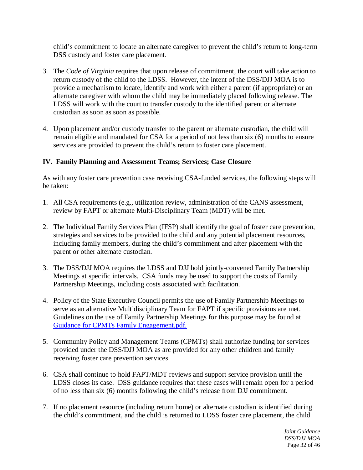child's commitment to locate an alternate caregiver to prevent the child's return to long-term DSS custody and foster care placement.

- 3. The *Code of Virginia* requires that upon release of commitment, the court will take action to return custody of the child to the LDSS. However, the intent of the DSS/DJJ MOA is to provide a mechanism to locate, identify and work with either a parent (if appropriate) or an alternate caregiver with whom the child may be immediately placed following release. The LDSS will work with the court to transfer custody to the identified parent or alternate custodian as soon as soon as possible.
- 4. Upon placement and/or custody transfer to the parent or alternate custodian, the child will remain eligible and mandated for CSA for a period of not less than six (6) months to ensure services are provided to prevent the child's return to foster care placement.

#### **IV. Family Planning and Assessment Teams; Services; Case Closure**

As with any foster care prevention case receiving CSA-funded services, the following steps will be taken:

- 1. All CSA requirements (e.g., utilization review, administration of the CANS assessment, review by FAPT or alternate Multi-Disciplinary Team (MDT) will be met.
- 2. The Individual Family Services Plan (IFSP) shall identify the goal of foster care prevention, strategies and services to be provided to the child and any potential placement resources, including family members, during the child's commitment and after placement with the parent or other alternate custodian.
- 3. The DSS/DJJ MOA requires the LDSS and DJJ hold jointly-convened Family Partnership Meetings at specific intervals. CSA funds may be used to support the costs of Family Partnership Meetings, including costs associated with facilitation.
- 4. Policy of the State Executive Council permits the use of Family Partnership Meetings to serve as an alternative Multidisciplinary Team for FAPT if specific provisions are met. Guidelines on the use of Family Partnership Meetings for this purpose may be found at [Guidance for CPMTs Family Engagement.pdf.](http://www.csa.virginia.gov/html/Guidance%20for%20Community%20Policy%20and%20Management%20Teams.pdf)
- 5. Community Policy and Management Teams (CPMTs) shall authorize funding for services provided under the DSS/DJJ MOA as are provided for any other children and family receiving foster care prevention services.
- 6. CSA shall continue to hold FAPT/MDT reviews and support service provision until the LDSS closes its case. DSS guidance requires that these cases will remain open for a period of no less than six (6) months following the child's release from DJJ commitment.
- 7. If no placement resource (including return home) or alternate custodian is identified during the child's commitment, and the child is returned to LDSS foster care placement, the child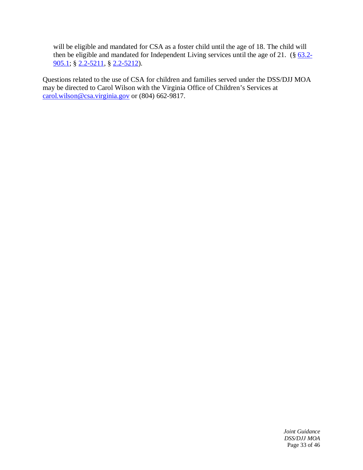will be eligible and mandated for CSA as a foster child until the age of 18. The child will then be eligible and mandated for Independent Living services until the age of 21.  $(\S$  [63.2-](http://law.lis.virginia.gov/vacode/63.2-905.1/) [905.1;](http://law.lis.virginia.gov/vacode/63.2-905.1/) § [2.2-5211,](http://law.lis.virginia.gov/vacode/2.2-5211/) § [2.2-5212\)](http://law.lis.virginia.gov/vacode/2.2-5212/).

Questions related to the use of CSA for children and families served under the DSS/DJJ MOA may be directed to Carol Wilson with the Virginia Office of Children's Services at [carol.wilson@csa.virginia.gov](mailto:carol.wilson@csa.virginia.gov) or (804) 662-9817.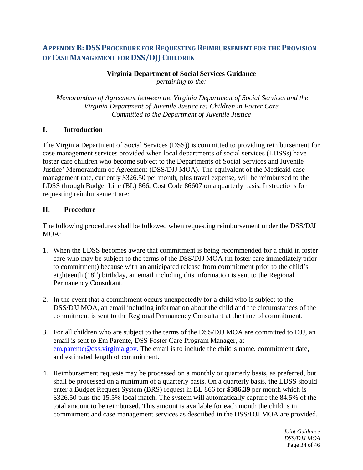## <span id="page-34-0"></span>**APPENDIX B: DSS PROCEDURE FOR REQUESTING REIMBURSEMENT FOR THE PROVISION OF CASE MANAGEMENT FOR DSS/DJJ CHILDREN**

## **Virginia Department of Social Services Guidance**

*pertaining to the:*

*Memorandum of Agreement between the Virginia Department of Social Services and the Virginia Department of Juvenile Justice re: Children in Foster Care Committed to the Department of Juvenile Justice*

#### **I. Introduction**

The Virginia Department of Social Services (DSS)) is committed to providing reimbursement for case management services provided when local departments of social services (LDSSs) have foster care children who become subject to the Departments of Social Services and Juvenile Justice' Memorandum of Agreement (DSS/DJJ MOA). The equivalent of the Medicaid case management rate, currently \$326.50 per month, plus travel expense, will be reimbursed to the LDSS through Budget Line (BL) 866, Cost Code 86607 on a quarterly basis. Instructions for requesting reimbursement are:

#### **II. Procedure**

The following procedures shall be followed when requesting reimbursement under the DSS/DJJ MOA:

- 1. When the LDSS becomes aware that commitment is being recommended for a child in foster care who may be subject to the terms of the DSS/DJJ MOA (in foster care immediately prior to commitment) because with an anticipated release from commitment prior to the child's eighteenth  $(18<sup>th</sup>)$  birthday, an email including this information is sent to the Regional Permanency Consultant.
- 2. In the event that a commitment occurs unexpectedly for a child who is subject to the DSS/DJJ MOA, an email including information about the child and the circumstances of the commitment is sent to the Regional Permanency Consultant at the time of commitment.
- 3. For all children who are subject to the terms of the DSS/DJJ MOA are committed to DJJ, an email is sent to Em Parente, DSS Foster Care Program Manager, at [em.parente@dss.virginia.gov.](mailto:em.parente@dss.virginia.gov) The email is to include the child's name, commitment date, and estimated length of commitment.
- 4. Reimbursement requests may be processed on a monthly or quarterly basis, as preferred, but shall be processed on a minimum of a quarterly basis. On a quarterly basis, the LDSS should enter a Budget Request System (BRS) request in BL 866 for **\$386.39** per month which is \$326.50 plus the 15.5% local match. The system will automatically capture the 84.5% of the total amount to be reimbursed. This amount is available for each month the child is in commitment and case management services as described in the DSS/DJJ MOA are provided.

*Joint Guidance DSS/DJJ MOA* Page 34 of 46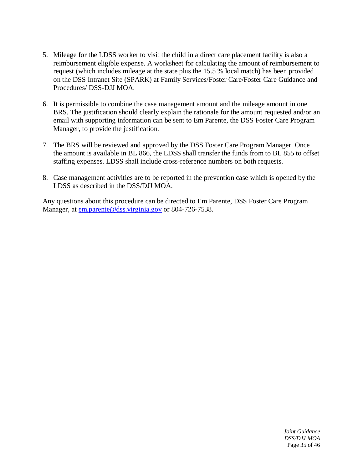- 5. Mileage for the LDSS worker to visit the child in a direct care placement facility is also a reimbursement eligible expense. A worksheet for calculating the amount of reimbursement to request (which includes mileage at the state plus the 15.5 % local match) has been provided on the DSS Intranet Site (SPARK) at Family Services/Foster Care/Foster Care Guidance and Procedures/ DSS-DJJ MOA.
- 6. It is permissible to combine the case management amount and the mileage amount in one BRS. The justification should clearly explain the rationale for the amount requested and/or an email with supporting information can be sent to Em Parente, the DSS Foster Care Program Manager, to provide the justification.
- 7. The BRS will be reviewed and approved by the DSS Foster Care Program Manager. Once the amount is available in BL 866, the LDSS shall transfer the funds from to BL 855 to offset staffing expenses. LDSS shall include cross-reference numbers on both requests.
- 8. Case management activities are to be reported in the prevention case which is opened by the LDSS as described in the DSS/DJJ MOA.

Any questions about this procedure can be directed to Em Parente, DSS Foster Care Program Manager, at [em.parente@dss.virginia.gov](mailto:em.parente@dss.virginia.gov) or 804-726-7538.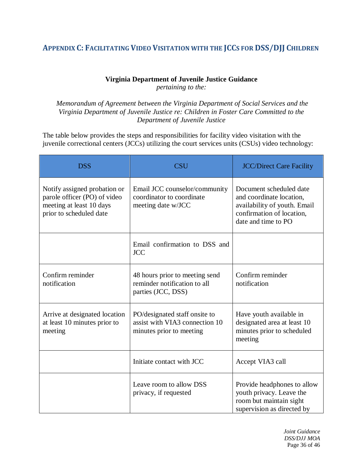## <span id="page-36-0"></span>**APPENDIX C: FACILITATING VIDEO VISITATION WITH THE JCCS FOR DSS/DJJ CHILDREN**

## **Virginia Department of Juvenile Justice Guidance**

*pertaining to the:*

*Memorandum of Agreement between the Virginia Department of Social Services and the Virginia Department of Juvenile Justice re: Children in Foster Care Committed to the Department of Juvenile Justice*

The table below provides the steps and responsibilities for facility video visitation with the juvenile correctional centers (JCCs) utilizing the court services units (CSUs) video technology:

| <b>DSS</b>                                                                                                          | <b>CSU</b>                                                                                  | <b>JCC/Direct Care Facility</b>                                                                                                         |
|---------------------------------------------------------------------------------------------------------------------|---------------------------------------------------------------------------------------------|-----------------------------------------------------------------------------------------------------------------------------------------|
| Notify assigned probation or<br>parole officer (PO) of video<br>meeting at least 10 days<br>prior to scheduled date | Email JCC counselor/community<br>coordinator to coordinate<br>meeting date w/JCC            | Document scheduled date<br>and coordinate location,<br>availability of youth. Email<br>confirmation of location,<br>date and time to PO |
|                                                                                                                     | Email confirmation to DSS and<br><b>JCC</b>                                                 |                                                                                                                                         |
| Confirm reminder<br>notification                                                                                    | 48 hours prior to meeting send<br>reminder notification to all<br>parties (JCC, DSS)        | Confirm reminder<br>notification                                                                                                        |
| Arrive at designated location<br>at least 10 minutes prior to<br>meeting                                            | PO/designated staff onsite to<br>assist with VIA3 connection 10<br>minutes prior to meeting | Have youth available in<br>designated area at least 10<br>minutes prior to scheduled<br>meeting                                         |
|                                                                                                                     | Initiate contact with JCC                                                                   | Accept VIA3 call                                                                                                                        |
|                                                                                                                     | Leave room to allow DSS<br>privacy, if requested                                            | Provide headphones to allow<br>youth privacy. Leave the<br>room but maintain sight<br>supervision as directed by                        |

*Joint Guidance DSS/DJJ MOA* Page 36 of 46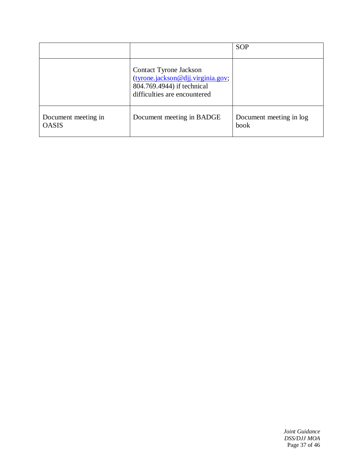|                                     |                                                                                                                           | <b>SOP</b>                      |
|-------------------------------------|---------------------------------------------------------------------------------------------------------------------------|---------------------------------|
|                                     | Contact Tyrone Jackson<br>(tyrone.jackson@djj.virginia.gov;<br>804.769.4944) if technical<br>difficulties are encountered |                                 |
| Document meeting in<br><b>OASIS</b> | Document meeting in BADGE                                                                                                 | Document meeting in log<br>book |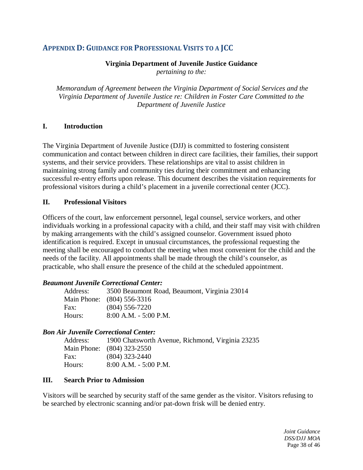### <span id="page-38-0"></span>**APPENDIX D: GUIDANCE FOR PROFESSIONAL VISITS TO A JCC**

#### **Virginia Department of Juvenile Justice Guidance**

*pertaining to the:*

*Memorandum of Agreement between the Virginia Department of Social Services and the Virginia Department of Juvenile Justice re: Children in Foster Care Committed to the Department of Juvenile Justice*

#### **I. Introduction**

The Virginia Department of Juvenile Justice (DJJ) is committed to fostering consistent communication and contact between children in direct care facilities, their families, their support systems, and their service providers. These relationships are vital to assist children in maintaining strong family and community ties during their commitment and enhancing successful re-entry efforts upon release. This document describes the visitation requirements for professional visitors during a child's placement in a juvenile correctional center (JCC).

#### **II. Professional Visitors**

Officers of the court, law enforcement personnel, legal counsel, service workers, and other individuals working in a professional capacity with a child, and their staff may visit with children by making arrangements with the child's assigned counselor. Government issued photo identification is required. Except in unusual circumstances, the professional requesting the meeting shall be encouraged to conduct the meeting when most convenient for the child and the needs of the facility. All appointments shall be made through the child's counselor, as practicable, who shall ensure the presence of the child at the scheduled appointment.

#### *Beaumont Juvenile Correctional Center:*

| Address: | 3500 Beaumont Road, Beaumont, Virginia 23014 |
|----------|----------------------------------------------|
|          | Main Phone: (804) 556-3316                   |
| Fax:     | $(804)$ 556-7220                             |
| Hours:   | $8:00$ A.M. $-5:00$ P.M.                     |

#### *Bon Air Juvenile Correctional Center:*

| Address: | 1900 Chatsworth Avenue, Richmond, Virginia 23235 |
|----------|--------------------------------------------------|
|          | Main Phone: (804) 323-2550                       |
| Fax:     | $(804)$ 323-2440                                 |
| Hours:   | $8:00$ A.M. $-5:00$ P.M.                         |

#### **III. Search Prior to Admission**

Visitors will be searched by security staff of the same gender as the visitor. Visitors refusing to be searched by electronic scanning and/or pat-down frisk will be denied entry.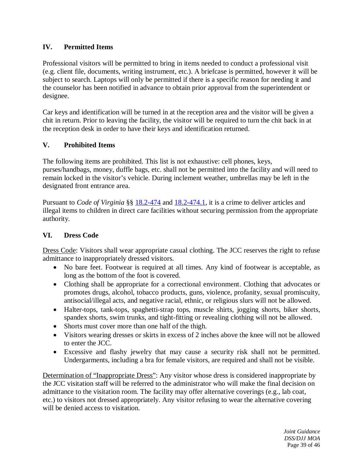### **IV. Permitted Items**

Professional visitors will be permitted to bring in items needed to conduct a professional visit (e.g. client file, documents, writing instrument, etc.). A briefcase is permitted, however it will be subject to search. Laptops will only be permitted if there is a specific reason for needing it and the counselor has been notified in advance to obtain prior approval from the superintendent or designee.

Car keys and identification will be turned in at the reception area and the visitor will be given a chit in return. Prior to leaving the facility, the visitor will be required to turn the chit back in at the reception desk in order to have their keys and identification returned.

#### **V. Prohibited Items**

The following items are prohibited. This list is not exhaustive: cell phones, keys, purses/handbags, money, duffle bags, etc. shall not be permitted into the facility and will need to remain locked in the visitor's vehicle. During inclement weather, umbrellas may be left in the designated front entrance area.

Pursuant to *Code of Virginia* §§ [18.2-474](http://law.lis.virginia.gov/vacode/title18.2/chapter10/section18.2-474/) and [18.2-474.1,](http://law.lis.virginia.gov/vacode/title18.2/chapter10/section18.2-474.1/) it is a crime to deliver articles and illegal items to children in direct care facilities without securing permission from the appropriate authority.

#### **VI. Dress Code**

Dress Code: Visitors shall wear appropriate casual clothing. The JCC reserves the right to refuse admittance to inappropriately dressed visitors.

- No bare feet. Footwear is required at all times. Any kind of footwear is acceptable, as long as the bottom of the foot is covered.
- Clothing shall be appropriate for a correctional environment. Clothing that advocates or promotes drugs, alcohol, tobacco products, guns, violence, profanity, sexual promiscuity, antisocial/illegal acts, and negative racial, ethnic, or religious slurs will not be allowed.
- Halter-tops, tank-tops, spaghetti-strap tops, muscle shirts, jogging shorts, biker shorts, spandex shorts, swim trunks, and tight-fitting or revealing clothing will not be allowed.
- Shorts must cover more than one half of the thigh.
- Visitors wearing dresses or skirts in excess of 2 inches above the knee will not be allowed to enter the JCC.
- Excessive and flashy jewelry that may cause a security risk shall not be permitted. Undergarments, including a bra for female visitors, are required and shall not be visible.

Determination of "Inappropriate Dress": Any visitor whose dress is considered inappropriate by the JCC visitation staff will be referred to the administrator who will make the final decision on admittance to the visitation room. The facility may offer alternative coverings (e.g., lab coat, etc.) to visitors not dressed appropriately. Any visitor refusing to wear the alternative covering will be denied access to visitation.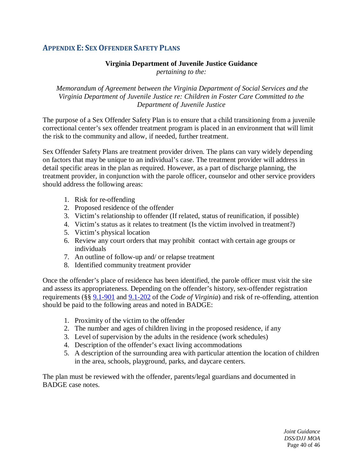### <span id="page-40-0"></span>**APPENDIX E: SEX OFFENDER SAFETY PLANS**

#### **Virginia Department of Juvenile Justice Guidance**

*pertaining to the:*

*Memorandum of Agreement between the Virginia Department of Social Services and the Virginia Department of Juvenile Justice re: Children in Foster Care Committed to the Department of Juvenile Justice*

The purpose of a Sex Offender Safety Plan is to ensure that a child transitioning from a juvenile correctional center's sex offender treatment program is placed in an environment that will limit the risk to the community and allow, if needed, further treatment.

Sex Offender Safety Plans are treatment provider driven. The plans can vary widely depending on factors that may be unique to an individual's case. The treatment provider will address in detail specific areas in the plan as required. However, as a part of discharge planning, the treatment provider, in conjunction with the parole officer, counselor and other service providers should address the following areas:

- 1. Risk for re-offending
- 2. Proposed residence of the offender
- 3. Victim's relationship to offender (If related, status of reunification, if possible)
- 4. Victim's status as it relates to treatment (Is the victim involved in treatment?)
- 5. Victim's physical location
- 6. Review any court orders that may prohibit contact with certain age groups or individuals
- 7. An outline of follow-up and/ or relapse treatment
- 8. Identified community treatment provider

Once the offender's place of residence has been identified, the parole officer must visit the site and assess its appropriateness. Depending on the offender's history, sex-offender registration requirements (§§ [9.1-901](http://law.lis.virginia.gov/vacode/title9.1/chapter9/section9.1-901/) and [9.1-202](http://law.lis.virginia.gov/vacode/title9.1/chapter9/section9.1-902/) of the *Code of Virginia*) and risk of re-offending, attention should be paid to the following areas and noted in BADGE:

- 1. Proximity of the victim to the offender
- 2. The number and ages of children living in the proposed residence, if any
- 3. Level of supervision by the adults in the residence (work schedules)
- 4. Description of the offender's exact living accommodations
- 5. A description of the surrounding area with particular attention the location of children in the area, schools, playground, parks, and daycare centers.

The plan must be reviewed with the offender, parents/legal guardians and documented in BADGE case notes.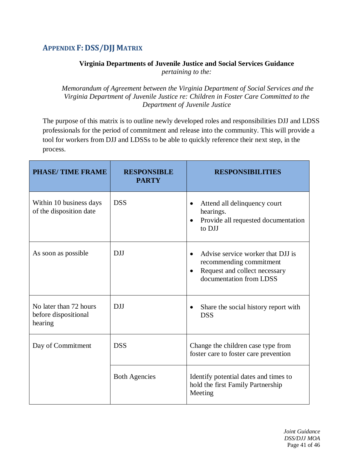## <span id="page-41-0"></span>**APPENDIX F: DSS/DJJ MATRIX**

### **Virginia Departments of Juvenile Justice and Social Services Guidance**

*pertaining to the:*

*Memorandum of Agreement between the Virginia Department of Social Services and the Virginia Department of Juvenile Justice re: Children in Foster Care Committed to the Department of Juvenile Justice*

The purpose of this matrix is to outline newly developed roles and responsibilities DJJ and LDSS professionals for the period of commitment and release into the community. This will provide a tool for workers from DJJ and LDSSs to be able to quickly reference their next step, in the process.

| <b>PHASE/TIME FRAME</b>                                   | <b>RESPONSIBLE</b><br><b>PARTY</b> | <b>RESPONSIBILITIES</b>                                                                                                                            |
|-----------------------------------------------------------|------------------------------------|----------------------------------------------------------------------------------------------------------------------------------------------------|
| Within 10 business days<br>of the disposition date        | <b>DSS</b>                         | Attend all delinquency court<br>$\bullet$<br>hearings.<br>Provide all requested documentation<br>$\bullet$<br>to DJJ                               |
| As soon as possible                                       | <b>DJJ</b>                         | Advise service worker that DJJ is<br>$\bullet$<br>recommending commitment<br>Request and collect necessary<br>$\bullet$<br>documentation from LDSS |
| No later than 72 hours<br>before dispositional<br>hearing | <b>DJJ</b>                         | Share the social history report with<br>$\bullet$<br><b>DSS</b>                                                                                    |
| Day of Commitment                                         | <b>DSS</b>                         | Change the children case type from<br>foster care to foster care prevention                                                                        |
|                                                           | <b>Both Agencies</b>               | Identify potential dates and times to<br>hold the first Family Partnership<br>Meeting                                                              |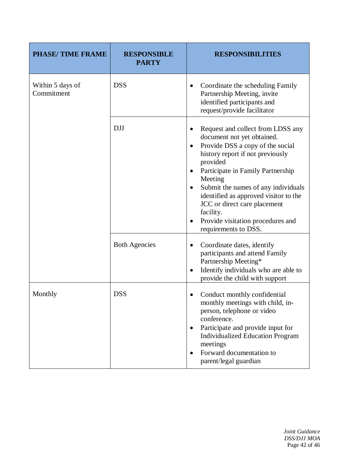| <b>PHASE/TIME FRAME</b>        | <b>RESPONSIBLE</b><br><b>PARTY</b> | <b>RESPONSIBILITIES</b>                                                                                                                                                                                                                                                                                                                                                                                                                           |
|--------------------------------|------------------------------------|---------------------------------------------------------------------------------------------------------------------------------------------------------------------------------------------------------------------------------------------------------------------------------------------------------------------------------------------------------------------------------------------------------------------------------------------------|
| Within 5 days of<br>Commitment | <b>DSS</b>                         | Coordinate the scheduling Family<br>$\bullet$<br>Partnership Meeting, invite<br>identified participants and<br>request/provide facilitator                                                                                                                                                                                                                                                                                                        |
|                                | <b>DJJ</b>                         | Request and collect from LDSS any<br>$\bullet$<br>document not yet obtained.<br>Provide DSS a copy of the social<br>$\bullet$<br>history report if not previously<br>provided<br>Participate in Family Partnership<br>$\bullet$<br>Meeting<br>Submit the names of any individuals<br>$\bullet$<br>identified as approved visitor to the<br>JCC or direct care placement<br>facility.<br>Provide visitation procedures and<br>requirements to DSS. |
|                                | <b>Both Agencies</b>               | Coordinate dates, identify<br>$\bullet$<br>participants and attend Family<br>Partnership Meeting*<br>Identify individuals who are able to<br>$\bullet$<br>provide the child with support                                                                                                                                                                                                                                                          |
| Monthly                        | <b>DSS</b>                         | Conduct monthly confidential<br>$\bullet$<br>monthly meetings with child, in-<br>person, telephone or video<br>conference.<br>Participate and provide input for<br>$\bullet$<br><b>Individualized Education Program</b><br>meetings<br>Forward documentation to<br>parent/legal guardian                                                                                                                                                          |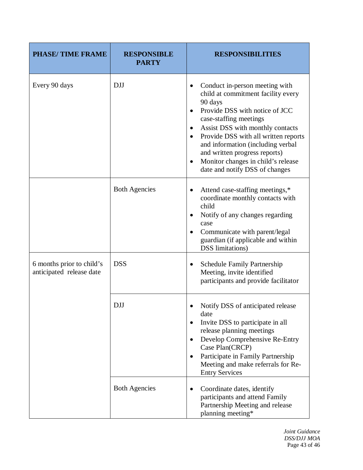| <b>PHASE/TIME FRAME</b>                               | <b>RESPONSIBLE</b><br><b>PARTY</b> | <b>RESPONSIBILITIES</b>                                                                                                                                                                                                                                                                                                                                                                                                   |
|-------------------------------------------------------|------------------------------------|---------------------------------------------------------------------------------------------------------------------------------------------------------------------------------------------------------------------------------------------------------------------------------------------------------------------------------------------------------------------------------------------------------------------------|
| Every 90 days                                         | <b>DJJ</b>                         | Conduct in-person meeting with<br>$\bullet$<br>child at commitment facility every<br>90 days<br>Provide DSS with notice of JCC<br>$\bullet$<br>case-staffing meetings<br>Assist DSS with monthly contacts<br>$\bullet$<br>Provide DSS with all written reports<br>$\bullet$<br>and information (including verbal<br>and written progress reports)<br>Monitor changes in child's release<br>date and notify DSS of changes |
|                                                       | <b>Both Agencies</b>               | Attend case-staffing meetings,*<br>٠<br>coordinate monthly contacts with<br>child<br>Notify of any changes regarding<br>$\bullet$<br>case<br>Communicate with parent/legal<br>guardian (if applicable and within<br><b>DSS</b> limitations)                                                                                                                                                                               |
| 6 months prior to child's<br>anticipated release date | <b>DSS</b>                         | Schedule Family Partnership<br>Meeting, invite identified<br>participants and provide facilitator                                                                                                                                                                                                                                                                                                                         |
|                                                       | <b>DJJ</b>                         | Notify DSS of anticipated release<br>date<br>Invite DSS to participate in all<br>$\bullet$<br>release planning meetings<br>Develop Comprehensive Re-Entry<br>$\bullet$<br>Case Plan(CRCP)<br>Participate in Family Partnership<br>$\bullet$<br>Meeting and make referrals for Re-<br><b>Entry Services</b>                                                                                                                |
|                                                       | <b>Both Agencies</b>               | Coordinate dates, identify<br>participants and attend Family<br>Partnership Meeting and release<br>planning meeting*                                                                                                                                                                                                                                                                                                      |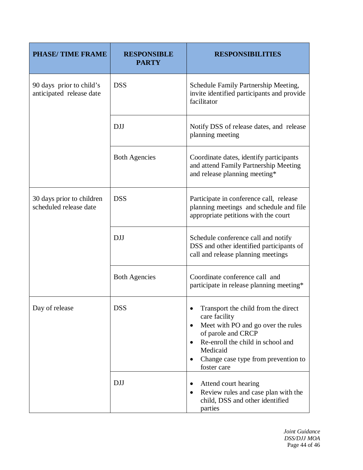| <b>PHASE/TIME FRAME</b>                              | <b>RESPONSIBLE</b><br><b>PARTY</b> | <b>RESPONSIBILITIES</b>                                                                                                                                                                                                              |
|------------------------------------------------------|------------------------------------|--------------------------------------------------------------------------------------------------------------------------------------------------------------------------------------------------------------------------------------|
| 90 days prior to child's<br>anticipated release date | <b>DSS</b>                         | Schedule Family Partnership Meeting,<br>invite identified participants and provide<br>facilitator                                                                                                                                    |
|                                                      | <b>DJJ</b>                         | Notify DSS of release dates, and release<br>planning meeting                                                                                                                                                                         |
|                                                      | <b>Both Agencies</b>               | Coordinate dates, identify participants<br>and attend Family Partnership Meeting<br>and release planning meeting*                                                                                                                    |
| 30 days prior to children<br>scheduled release date  | <b>DSS</b>                         | Participate in conference call, release<br>planning meetings and schedule and file<br>appropriate petitions with the court                                                                                                           |
|                                                      | <b>DJJ</b>                         | Schedule conference call and notify<br>DSS and other identified participants of<br>call and release planning meetings                                                                                                                |
|                                                      | <b>Both Agencies</b>               | Coordinate conference call and<br>participate in release planning meeting*                                                                                                                                                           |
| Day of release                                       | <b>DSS</b>                         | Transport the child from the direct<br>care facility<br>Meet with PO and go over the rules<br>$\bullet$<br>of parole and CRCP<br>Re-enroll the child in school and<br>Medicaid<br>Change case type from prevention to<br>foster care |
|                                                      | <b>DJJ</b>                         | Attend court hearing<br>Review rules and case plan with the<br>child, DSS and other identified<br>parties                                                                                                                            |